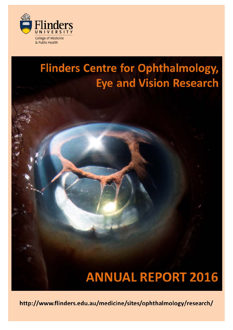

# **Flinders Centre for Ophthalmology, Eye and Vision Research**

# **ANNUAL REPORT 2016**

http://www.flinders.edu.au/medicine/sites/ophthalmology/research/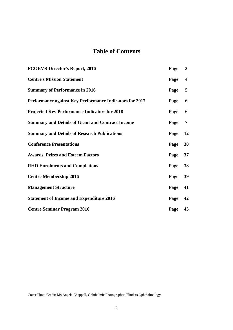## **Table of Contents**

| <b>FCOEVR Director's Report, 2016</b>                   | Page | $\mathbf{3}$            |
|---------------------------------------------------------|------|-------------------------|
| <b>Centre's Mission Statement</b>                       | Page | $\overline{\mathbf{4}}$ |
| <b>Summary of Performance in 2016</b>                   | Page | 5                       |
| Performance against Key Performance Indicators for 2017 | Page | 6                       |
| <b>Projected Key Performance Indicators for 2018</b>    | Page | 6                       |
| <b>Summary and Details of Grant and Contract Income</b> | Page | $\overline{7}$          |
| <b>Summary and Details of Research Publications</b>     | Page | 12                      |
| <b>Conference Presentations</b>                         | Page | 30                      |
| <b>Awards, Prizes and Esteem Factors</b>                | Page | 37                      |
| <b>RHD Enrolments and Completions</b>                   | Page | 38                      |
| <b>Centre Membership 2016</b>                           | Page | 39                      |
| <b>Management Structure</b>                             | Page | 41                      |
| <b>Statement of Income and Expenditure 2016</b>         | Page | 42                      |
| <b>Centre Seminar Program 2016</b>                      | Page | 43                      |

Cover Photo Credit: Ms Angela Chappell, Ophthalmic Photographer, Flinders Ophthalmology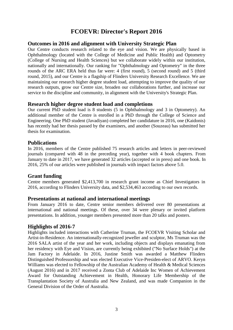## **FCOEVR: Director's Report 2016**

#### **Outcomes in 2016 and alignment with University Strategic Plan**

Our Centre conducts research related to the eye and vision. We are physically based in Ophthalmology (located with the College of Medicine and Public Health) and Optometry (College of Nursing and Health Sciences) but we collaborate widely within our institution, nationally and internationally. Our ranking for "Ophthalmology and Optometry" in the three rounds of the ARC ERA held thus far were: 4 (first round), 5 (second round) and 5 (third round, 2015), and our Centre is a flagship of Flinders University Research Excellence. We are maintaining our research higher degree student load, attempting to improve the quality of our research outputs, grow our Centre size, broaden our collaborations further, and increase our service to the discipline and community, in alignment with the University's Strategic Plan.

#### **Research higher degree student load and completions**

Our current PhD student load is 8 students (5 in Ophthalmology and 3 in Optometry). An additional member of the Centre is enrolled in a PhD through the College of Science and Engineering. One PhD student (Javadiyan) completed her candidature in 2016, one (Kaidonis) has recently had her thesis passed by the examiners, and another (Souzeau) has submitted her thesis for examination.

#### **Publications**

In 2016, members of the Centre published 75 research articles and letters in peer-reviewed journals (compared with 48 in the preceding year), together with 4 book chapters. From January to date in 2017, we have generated 32 articles (accepted or in press) and one book. In 2016, 25% of our articles were published in journals with impact factors above 5.0.

#### **Grant funding**

Centre members generated \$2,413,700 in research grant income as Chief Investigators in 2016, according to Flinders University data, and \$2,534,463 according to our own records.

#### **Presentations at national and international meetings**

From January 2016 to date, Centre senior members delivered over 80 presentations at international and national meetings. Of these, over 34 were plenary or invited platform presentations. In addition, younger members presented more than 20 talks and posters.

#### **Highlights of 2016-7**

Highlights included interactions with Catherine Truman, the FCOEVR Visiting Scholar and Artist-in-Residence. An internationally-recognized jeweller and sculptor, Ms Truman was the 2016 SALA artist of the year and her work, including objects and displays emanating from her residency with Eye and Vision, are currently being exhibited ("No Surface Holds") at the Jam Factory in Adelaide. In 2016, Justine Smith was awarded a Matthew Flinders Distinguished Professorship and was elected Executive Vice-Presiden-elect of ARVO. Keryn Williams was elected to Fellowship of the Australian Academy of Health & Medical Sciences (August 2016) and in 2017 received a Zonta Club of Adelaide Inc Women of Achievement Award for Outstanding Achievement in Health, Honorary Life Membership of the Transplantation Society of Australia and New Zealand, and was made Companion in the General Division of the Order of Australia.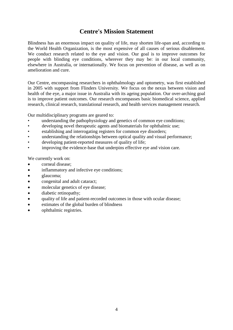## **Centre's Mission Statement**

Blindness has an enormous impact on quality of life, may shorten life-span and, according to the World Health Organization, is the most expensive of all causes of serious disablement. We conduct research related to the eye and vision. Our goal is to improve outcomes for people with blinding eye conditions, wherever they may be: in our local community, elsewhere in Australia, or internationally. We focus on prevention of disease, as well as on amelioration and cure.

Our Centre, encompassing researchers in ophthalmology and optometry, was first established in 2005 with support from Flinders University. We focus on the nexus between vision and health of the eye, a major issue in Australia with its ageing population. Our over-arching goal is to improve patient outcomes. Our research encompasses basic biomedical science, applied research, clinical research, translational research, and health services management research.

Our multidisciplinary programs are geared to:

- understanding the pathophysiology and genetics of common eye conditions;
- developing novel therapeutic agents and biomaterials for ophthalmic use;
- establishing and interrogating registers for common eye disorders;
- understanding the relationships between optical quality and visual performance;
- developing patient-reported measures of quality of life;
- improving the evidence-base that underpins effective eye and vision care.

We currently work on:

- corneal disease;
- inflammatory and infective eye conditions;
- glaucoma;
- congenital and adult cataract;
- molecular genetics of eye disease;
- diabetic retinopathy;
- quality of life and patient-recorded outcomes in those with ocular disease;
- estimates of the global burden of blindness
- ophthalmic registries.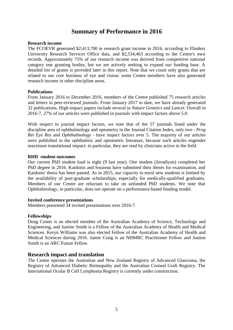## **Summary of Performance in 2016**

#### **Research income**

The FCOEVR generated \$2,413,700 in research grant income in 2016, according to Flinders University Research Services Office data, and \$2,534,463 according to the Centre's own records. Approximately 75% of our research income was derived from competitive national category one granting bodies, but we are actively seeking to expand our funding base. A detailed list of grants is provided later in this report. Note that we count only grants that are related to our core business of eye and vision: some Centre members have also generated research income in other discipline areas.

#### **Publications**

From January 2016 to December 2016, members of the Centre published 75 research articles and letters in peer-reviewed journals. From January 2017 to date, we have already generated 32 publications. High-impact papers include several in *Nature Genetics* and *Lancet*. Overall in 2016-7, 27% of our articles were published in journals with impact factors above 5.0.

With respect to journal impact factors, we note that of the 57 journals listed under the discipline area of ophthalmology and optometry in the Journal Citation Index, only two - *Prog Ret Eye Res* and *Ophthalmology* - have impact factors over 5. The majority of our articles were published in the ophthalmic and optometric literature, because such articles engender maximum translational impact: in particular, they are read by clinicians active in the field.

#### **RHD student outcomes**

Our current PhD student load is eight (9 last year). One student (Javadiyan) completed her PhD degree in 2016. Kaidonis and Souzeau have submitted their theses for examination, and Kaidonis' thesis has been passed. As in 2015, our capacity to enrol new students is limited by the availability of post-graduate scholarships, especially for medically-qualified graduates. Members of our Centre are reluctant to take on unfunded PhD students. We note that Ophthalmology, in particular, does not operate on a performance-based funding model.

#### **Invited conference presentations**

Members presented 34 invited presentations over 2016-7.

#### **Fellowships**

Doug Coster is an elected member of the Australian Academy of Science, Technology and Engineering, and Justine Smith is a Fellow of the Australian Academy of Health and Medical Sciences. Keryn Williams was also elected Fellow of the Australian Academy of Health and Medical Sciences during 2016. Jamie Craig is an NHMRC Practitioner Fellow and Justine Smith is an ARC Future Fellow.

#### **Research impact and translation**

The Centre operates the Australian and New Zealand Registry of Advanced Glaucoma, the Registry of Advanced Diabetic Retinopathy and the Australian Corneal Graft Registry. The International Ocular B Cell Lymphoma Registry is currently under construction.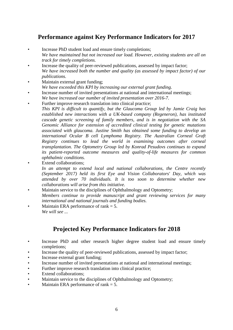## **Performance against Key Performance Indicators for 2017**

- Increase PhD student load and ensure timely completions; *We have maintained but not increased our load. However, existing students are all on track for timely completions.*
- Increase the quality of peer-reviewed publications, assessed by impact factor; *We have increased both the number and quality (as assessed by impact factor) of our publications.*
- Maintain external grant funding; *We have exceeded this KPI by increasing our external grant funding.*
- Increase number of invited presentations at national and international meetings; *We have increased our number of invited presentation over 2016-7.*
- Further improve research translation into clinical practice; *This KPI is difficult to quantify, but the Glaucoma Group led by Jamie Craig has established new interactions with a UK-based company (Regeneron), has instituted cascade genetic screening of family members, and is in negotiation with the SA Genomic Alliance for extension of accredited clinical testing for genetic mutations associated with glaucoma. Justine Smith has obtained some funding to develop an international Ocular B cell Lymphoma Registry. The Australian Corneal Graft Registry continues to lead the world in examining outcomes after corneal transplantation. The Optometry Group led by Konrad Pesudovs continues to expand its patient-reported outcome measures and quality-of-life measures for common ophthalmic conditions.*
- Extend collaborations: In an attempt to extend local and national collaborations, the Centre recently *(September 2017) held its first Eye and Vision Collaborators' Day, which was attended by over 70 individuals. It is too soon to determine whether new collaborations will arise from this initiative.*
- Maintain service to the disciplines of Ophthalmology and Optometry; *Members continue to provide manuscript and grant reviewing services for many international and national journals and funding bodies.*
- Maintain ERA performance of rank  $= 5$ . *We will see ...*

## **Projected Key Performance Indicators for 2018**

- Increase PhD and other research higher degree student load and ensure timely completions;
- Increase the quality of peer-reviewed publications, assessed by impact factor;
- Increase external grant funding;
- Increase number of invited presentations at national and international meetings;
- Further improve research translation into clinical practice;
- Extend collaborations:
- Maintain service to the disciplines of Ophthalmology and Optometry;
- Maintain ERA performance of rank = 5.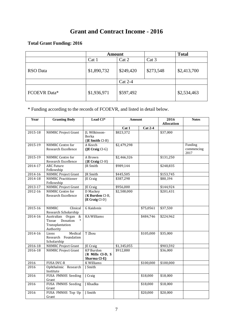## **Grant and Contract Income - 2016**

## **Total Grant Funding: 2016**

|                 | <b>Amount</b>    |           |           | <b>Total</b> |
|-----------------|------------------|-----------|-----------|--------------|
|                 | Cat <sub>1</sub> | Cat 2     | Cat 3     |              |
| <b>RSO</b> Data | \$1,890,732      | \$249,420 | \$273,548 | \$2,413,700  |
|                 |                  | $Cat 2-4$ |           |              |
| FCOEVR Data*    | \$1,936,971      | \$597,492 |           | \$2,534,463  |

\* Funding according to the records of FCOEVR, and listed in detail below.

| Year    | <b>Granting Body</b>                                                               | Lead CI*                                             | Amount                |                | 2016<br><b>Allocation</b> | <b>Notes</b>                  |
|---------|------------------------------------------------------------------------------------|------------------------------------------------------|-----------------------|----------------|---------------------------|-------------------------------|
|         |                                                                                    |                                                      | Cat 1                 | <b>Cat 2-4</b> |                           |                               |
| 2015-18 | NHMRC Project Grant                                                                | JL Wilkinson-<br>Berka<br>(JE Smith CI-B)            | $\overline{$823,372}$ |                | \$37,000                  |                               |
| 2015-19 | <b>NHMRC</b> Centre for<br>Research Excellence                                     | A Keech<br>(JE Craig CI-G)                           | \$2,479,298           |                |                           | Funding<br>commencing<br>2017 |
| 2015-19 | <b>NHMRC</b> Centre for<br>Research Excellence                                     | A Brown<br>(JE Craig CI-H)                           | \$2,466,326           |                | \$131,250                 |                               |
| 2014-17 | <b>ARC</b> Future<br>Fellowship                                                    | <b>IR</b> Smith                                      | \$989,144             |                | \$248,835                 |                               |
| 2014-16 | <b>NHMRC Project Grant</b>                                                         | JR Smith                                             | \$445,505             |                | \$153,745                 |                               |
| 2014-18 | <b>NHMRC</b> Practitioner<br>Fellowship                                            | JE Craig                                             | \$387,298             |                | \$80,194                  |                               |
| 2013-17 | <b>NHMRC</b> Project Grant                                                         | JE Craig                                             | \$956,000             |                | \$144,924                 |                               |
| 2012-16 | NHMRC Centre for<br>Research Excellence                                            | <b>D</b> Mackey<br>(K Burdon CI-B,<br>JE Craig CI-D) | \$2,500,000           |                | \$201,431                 |                               |
| 2015-16 | <b>NHMRC</b><br>Clinical<br>Research Scholarship                                   | G Kaidonis                                           |                       | \$75,0561      | \$37,530                  |                               |
| 2014-16 | Australian Organ &<br>Donation<br>Tissue<br>$\ast$<br>Transplantation<br>Authority | <b>KA Williams</b>                                   |                       | \$484,746      | \$224,962                 |                               |
| 2014-16 | Lions<br>Medical<br>Research Foundation<br>Scholarship                             | T Zhou                                               |                       | \$105,000      | \$35,000                  |                               |
| 2016-18 | <b>NHMRC</b> Project Grant                                                         | JE Craig                                             | \$1,345,055           |                | \$903,592                 |                               |
| 2016-18 | <b>NHMRC Project Grant</b>                                                         | <b>KP</b> Burdon<br>(R Mills CI-D, S<br>Sharma CI-E) | \$912,880             |                | \$36,000                  |                               |
| 2016    | <b>FUSA DVC-R</b>                                                                  | <b>K</b> Williams                                    |                       | \$100,000      | \$100,000                 |                               |
| 2016    | Ophthalmic Research<br>Institute                                                   | J Smith                                              |                       |                |                           |                               |
| 2016    | <b>FUSA FMNHS Seeding</b><br>Grant                                                 | J Craig                                              |                       | \$18,000       | \$18,000                  |                               |
| 2016    | <b>FUSA FMNHS Seeding</b><br>Grant                                                 | J Khadka                                             |                       | \$18,000       | \$18,000                  |                               |
| 2016    | FUSA FMNHS Top Up<br>Grant                                                         | J Smith                                              |                       | \$20,000       | \$20,000                  |                               |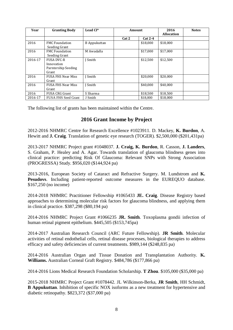| Year    | <b>Granting Body</b>       | Lead CI*            |       | Amount    | 2016<br><b>Allocation</b> | <b>Notes</b> |
|---------|----------------------------|---------------------|-------|-----------|---------------------------|--------------|
|         |                            |                     |       |           |                           |              |
|         |                            |                     | Cat 2 | $Cat 2-4$ |                           |              |
| 2016    | <b>FMC Foundation</b>      | <b>B</b> Appukuttan |       | \$18,000  | \$18,000                  |              |
|         | Seeding Grant              |                     |       |           |                           |              |
| 2016    | <b>FMC</b> Foundation      | M Awadalla          |       | \$17,000  | \$17,000                  |              |
|         | Seeding Grant              |                     |       |           |                           |              |
| 2016-17 | <b>FUSA DVC-R</b>          | Smith               |       | \$12,500  | \$12,500                  |              |
|         | Innovation                 |                     |       |           |                           |              |
|         | Parntership Seeding        |                     |       |           |                           |              |
|         | Grant                      |                     |       |           |                           |              |
| 2016    | <b>FUSA FHS Near Miss</b>  | Smith               |       | \$20,000  | \$20,000                  |              |
|         | Grant                      |                     |       |           |                           |              |
| 2016    | <b>FUSA FHS Near Miss</b>  | Smith               |       | \$40,000  | \$40.000                  |              |
|         | Grant                      |                     |       |           |                           |              |
| 2016    | <b>FUSA CRG Grant</b>      | S Sharma            |       | \$18,500  | \$18,500                  |              |
| 2016-17 | <b>FUSA FHS Seed Grant</b> | J Smith             |       | \$18,000  | \$18,000                  |              |

The following list of grants has been maintained within the Centre.

### **2016 Grant Income by Project**

2012-2016 NHMRC Centre for Research Excellence #1023911. D. Mackey, **K. Burdon**, A. Hewitt and **J. Craig**. Translation of genetic eye research (TOGER). \$2,500,000 (\$201,431pa)

2013-2017 NHMRC Project grant #1048037. **J. Craig, K. Burdon**, R. Casson, **J. Landers**, S. Graham, P. Healey and A. Agar. Towards translation of glaucoma blindness genes into clinical practice: predicting Risk Of Glaucoma: Relevant SNPs with Strong Association (PROGRESSA) Study. \$956,020 (\$144,924 pa)

2013-2016, European Society of Cataract and Refractive Surgery. M. Lundstrom and **K. Pesudovs**. Including patient-reported outcome measures in the EUREQUO database. \$167,250 (no income)

2014-2018 NHMRC Practitioner Fellowship #1065433 **JE. Craig**. Disease Registry based approaches to determining molecular risk factors for glaucoma blindness, and applying them in clinical practice. \$387,298 (\$80,194 pa)

2014-2016 NHMRC Project Grant #1066235 **JR. Smith**. Toxoplasma gondii infection of human retinal pigment epithelium. \$445,505 (\$153,745pa)

2014-2017 Australian Research Council (ARC Future Fellowship). **JR Smith**. Molecular activities of retinal endothelial cells, retinal disease processes, biological therapies to address efficacy and safety deficiencies of current treatments. \$989,144 (\$248,835 pa)

2014-2016 Australian Organ and Tissue Donation and Transplantation Authority. **K. Williams.** Australian Corneal Graft Registry. \$484,786 (\$177,866 pa)

2014-2016 Lions Medical Research Foundation Scholarship. **T Zhou**. \$105,000 (\$35,000 pa)

2015-2018 NHMRC Project Grant #1078442. JL Wilkinson-Berka, **JR Smith**, HH Schmidt, **B Appukuttan**. Inhibition of specific NOX isoforms as a new treatment for hypertensive and diabetic retinopathy. \$823,372 (\$37,000 pa)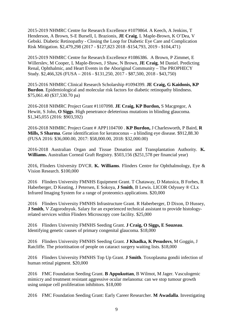2015-2019 NHMRC Centre for Research Excellence #1079864. A Keech, A Jenkins, T Henderson, A Brown, S-E Bursell, L Brazionis, **JE Craig**, L Maple-Brown, K O'Dea, V Gebski. Diabetic Retinopathy - Closing the Loop for Diabetic Eye Care and Complication Risk Mitigation. \$2,479,298 (2017 - \$127,823 2018 -\$154,793, 2019 - \$104,471)

2015-2019 NHMRC Centre for Research Excellence #1086386. A Brown, P Zimmet, E Willerslev, M Cooper, L Maple-Brown, J Shaw, N Brown, **JE Craig**, M Daniel. Predicting Renal, Ophthalmic, and Heart Events in the Aboriginal Community – The PROPHECY Study. \$2,466,326 (FUSA – 2016 - \$131,250, 2017 - \$87,500, 2018 - \$43,750)

2015-2016 NHMRC Clinical Research Scholarship #1094399. **JE Craig, G Kaidonis, KP Burdon**. Epidemiological and molecular risk factors for diabetic retinopathy blindness. \$75,061.40 (\$37,530.70 pa)

2016-2018 NHMRC Project Grant #1107098. **JE Craig, KP Burdon,** S Macgregor, A Hewitt, S John, **O Siggs**. High penetrance deleterious mutations in blinding glaucoma. \$1,345,055 (2016: \$903,592)

2016-2018 NHMRC Project Grant # APP1104700 . **KP Burdon,** J Charlesworth, P Baird, **R Mills, S Sharma**. Gene identification for keratoconus – a blinding eye disease. \$912,88.30 (FUSA 2016: \$36,000.00, 2017: \$58,000.00, 2018: \$32,000.00)

2016-2018 Australian Organ and Tissue Donation and Transplantation Authority. **K. Williams.** Australian Corneal Graft Registry. \$503,156 (\$251,578 per financial year)

2016, Flinders University DVCR. **K. Williams**. Flinders Centre for Ophthalmology, Eye & Vision Research. \$100,000

2016 Flinders University FMNHS Equipment Grant. T Chataway, D Matusica, B Forbes, R Haberberger, D Keating, J Petersen, E Sokoya, **J Smith**, B Lewis. LICOR Odyssey ® CLx Infrared Imaging System for a range of proteomics applications. \$20,000

2016 Flinders University FMNHS Infrastructure Grant. R Haberberger, D Dixon, D Hussey, **J Smith**, V Zagorodnyuk. Salary for an experienced technical assistant to provide histologyrelated services within Flinders Microscopy core facility. \$25,000

2016 Flinders University FMNHS Seeding Grant. **J Craig, O Siggs, E Souzeau**. Identifying genetic causes of primary congenital glaucoma. \$18,000

2016 Flinders University FMNHS Seeding Grant. **J Khadka, K Pesudovs**, M Goggin, J Ratcliffe. The prioritisation of people on cataract surgery waiting lists. \$18,000

2016 Flinders University FMNHS Top Up Grant. **J Smith**. Toxoplasma gondii infection of human retinal pigment. \$20,000

2016 FMC Foundation Seeding Grant. **B Appukuttan**, B Wilmot, M Jager. Vasculogenic mimicry and treatment resistant aggressive ocular melanoma: can we stop tumour growth using unique cell proliferation inhibitors. \$18,000

2016 FMC Foundation Seeding Grant: Early Career Researcher. **M Awadalla**. Investigating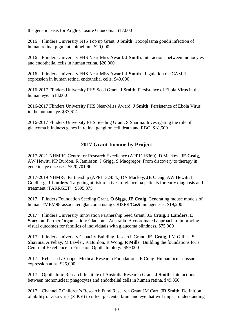the genetic basis for Angle Closure Glaucoma. \$17,000

2016 Flinders University FHS Top up Grant. **J Smith**. Toxoplasma gondii infection of human retinal pigment epithelium. \$20,000

2016 Flinders University FHS Near-Miss Award. **J Smith**. Interactions between monocytes and endothelial cells in human retina. \$20,000

2016 Flinders University FHS Near-Miss Award. **J Smith**. Regulation of ICAM-1 expression in human retinal endothelial cells. \$40,000

2016-2017 Flinders University FHS Seed Grant. **J Smith**. Persistence of Ebola Virus in the human eye. \$18,000

2016-2017 Flinders University FHS Near-Miss Award. **J Smith**. Persistence of Ebola Virus in the human eye. \$37,614

2016-2017 Flinders University FHS Seeding Grant. S Sharma. Investigating the role of glaucoma blindness genes in retinal ganglion cell death and RBC. \$18,500

### **2017 Grant Income by Project**

2017-2021 NHMRC Centre for Research Excellence (APP1116360). D Mackey, **JE Craig**, AW Hewitt, KP Burdon, R Jamieson, J Grigg, S Macgregor. From discovery to therapy in genetic eye diseases. \$520,701.90

2017-2019 NHMRC Partnership (APP1132454.) DA Mackey, **JE Craig**, AW Hewitt, I Goldberg, **J Landers**. Targeting at risk relatives of glaucoma patients for early diagnosis and treatment (TARRGET). \$595,375

2017 Flinders Foundation Seeding Grant. **O Siggs**, **JE Craig**. Generating mouse models of human TMEM98-associated glaucoma using CRISPR/Cas9 mutagenesis. \$19,200

2017 Flinders University Innovation Partnership Seed Grant. **JE Craig**, **J Landers**, **E Souzeau**. Partner Organisation: Glaucoma Australia. A coordinated approach to improving visual outcomes for families of individuals with glaucoma blindness. \$75,000

2017 Flinders University Capacity-Building Research Grant. **JE Craig**, J;M Gillies, **S Sharma**, A Pebay, M Lawler, K Burdon, R Wong, **R Mills**. Building the foundations for a Centre of Excellence in Precision Ophthalmology. \$59,000

2017 Rebecca L. Cooper Medical Research Foundation. JE Craig. Human ocular tissue expression atlas. \$25,000

2017 Ophthalmic Research Institute of Australia Research Grant. **J Smith**. Interactions between mononuclear phagocytes and endothelial cells in human retina. \$49,850

2017 Channel 7 Children's Research Fund Research Grant.JM Carr, **JR Smith.** Definition of ability of zika virus (ZIKV) to infect placenta, brain and eye that will impact understanding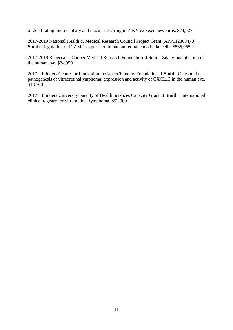of debilitating microcephaly and macular scarring in ZIKV exposed newborns. \$74,027

2017-2019 National Health & Medical Research Council Project Grant (APP1123684) **J Smith.** Regulation of ICAM-1 expression in human retinal endothelial cells. \$565,965

2017-2018 Rebecca L. Cooper Medical Research Foundation. J Smith. Zika virus infection of the human eye. \$24,950

2017 Flinders Centre for Innovation in Cancer/Flinders Foundation. **J Smith**. Clues to the pathogenesis of vitreoretinal ymphoma: expression and activity of CXCL13 in the human eye. \$18,500

2017 Flinders University Faculty of Health Sciences Capacity Grant. **J Smith**. International clinical registry for vitreoretinal lymphoma. \$52,000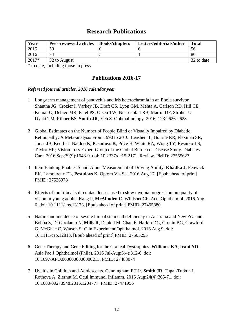## **Research Publications**

| Year    | <b>Peer-reviewed articles</b> | <b>Books/chapters</b> | Letters/editorials/other | <b>Total</b> |
|---------|-------------------------------|-----------------------|--------------------------|--------------|
| 2015    | 50                            |                       |                          | 56           |
| 2016    | 74                            |                       |                          | 80           |
| $2017*$ | 32 to August                  |                       |                          | 32 to date   |

\* to date, including those in press

## **Publications 2016-17**

#### *Refereed journal articles, 2016 calendar year*

- 1 Long-term management of panuveitis and iris heterochromia in an Ebola survivor. Shantha JG, Crozier I, Varkey JB, Draft CS, Lyon GM, Mehta A, Carlson RD, Hill CE, Kumar G, Debiec MR, Patel PS, Olsen TW, Nussenblatt RB, Martin DF, Stroher U, Uyeki TM, Ribner BS, **Smith JR**, Yeh S. Ophthalmology. 2016; 123:2626-2628.
- 2 Global Estimates on the Number of People Blind or Visually Impaired by Diabetic Retinopathy: A Meta-analysis From 1990 to 2010. Leasher JL, Bourne RR, Flaxman SR, Jonas JB, Keeffe J, Naidoo K, **Pesudovs K**, Price H, White RA, Wong TY, Resnikoff S, Taylor HR; Vision Loss Expert Group of the Global Burden of Disease Study. Diabetes Care. 2016 Sep;39(9):1643-9. doi: 10.2337/dc15-2171. Review. PMID: 27555623
- 3 Item Banking Enables Stand-Alone Measurement of Driving Ability. **Khadka J**, Fenwick EK, Lamoureux EL, **Pesudovs** K. Optom Vis Sci. 2016 Aug 17. [Epub ahead of print] PMID: 27536978
- 4 Effects of multifocal soft contact lenses used to slow myopia progression on quality of vision in young adults. Kang P, **McAlinden C**, Wildsoet CF. Acta Ophthalmol. 2016 Aug 6. doi: 10.1111/aos.13173. [Epub ahead of print] PMID: 27495880
- 5 Nature and incidence of severe limbal stem cell deficiency in Australia and New Zealand. Bobba S, Di Girolamo N, **Mills R**, Daniell M, Chan E, Harkin DG, Cronin BG, Crawford G, McGhee C, Watson S. Clin Experiment Ophthalmol. 2016 Aug 9. doi: 10.1111/ceo.12813. [Epub ahead of print] PMID: 27505295
- 6 Gene Therapy and Gene Editing for the Corneal Dystrophies. **Williams KA**, **Irani YD**. Asia Pac J Ophthalmol (Phila). 2016 Jul-Aug;5(4):312-6. doi: 10.1097/APO.0000000000000215. PMID: 27488074
- 7 Uveitis in Children and Adolescents. Cunningham ET Jr, **Smith JR**, Tugal-Tutkun I, Rothova A, Zierhut M. Ocul Immunol Inflamm. 2016 Aug;24(4):365-71. doi: 10.1080/09273948.2016.1204777. PMID: 27471956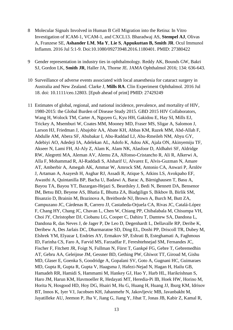- 8 Molecular Signals Involved in Human B Cell Migration into the Retina: In Vitro Investigation of ICAM-1, VCAM-1, and CXCL13. Bharadwaj AS, **Stempel AJ**, Olivas A, Franzese SE, **Ashander LM**, **Ma Y**, **Lie S**, **Appukuttan B, Smith JR**. Ocul Immunol Inflamm. 2016 Jul 5:1-9. Doi:10.1080/09273948.2016.1180401. PMID: 27380422
- 9 Gender representation in industry ties in ophthalmology. Reddy AK, Bounds GW, Bakri SJ, Gordon LK, **Smith JR**, Haller JA, Thorne JE. JAMA Ophthalmol 2016; 134: 636-643.
- 10 Surveillance of adverse events associated with local anaesthesia for cataract surgery in Australia and New Zealand. Clarke J, **Mills RA**. Clin Experiment Ophthalmol. 2016 Jul 18. doi: 10.1111/ceo.12803. [Epub ahead of print] PMID: 27429249
- 11 Estimates of global, regional, and national incidence, prevalence, and mortality of HIV, 1980-2015: the Global Burden of Disease Study 2015. GBD 2015 HIV Collaborators, Wang H, Wolock TM, Carter A, Nguyen G, Kyu HH, Gakidou E, Hay SI, Mills EJ, Trickey A, Msemburi W, Coates MM, Mooney MD, Fraser MS, Sligar A, Salomon J, Larson HJ, Friedman J, Abajobir AA, Abate KH, Abbas KM, Razek MM, Abd-Allah F, Abdulle AM, Abera SF, Abubakar I, Abu-Raddad LJ, Abu-Rmeileh NM, Abyu GY, Adebiyi AO, Adedeji IA, Adelekan AL, Adofo K, Adou AK, Ajala ON, Akinyemiju TF, Akseer N, Lami FH, Al-Aly Z, Alam K, Alam NK, Alasfoor D, Aldhahri SF, Aldridge RW, Alegretti MA, Aleman AV, Alemu ZA, Alfonso-Cristancho R, Ali R, Alkerwi A, Alla F, Mohammad R, Al-Raddadi S, Alsharif U, Alvarez E, Alvis-Guzman N, Amare AT, Amberbir A, Amegah AK, Ammar W, Amrock SM, Antonio CA, Anwari P, Ärnlöv J, Artaman A, Asayesh H, Asghar RJ, Assadi R, Atique S, Atkins LS, Avokpaho EF, Awasthi A, Quintanilla BP, Bacha U, Badawi A, Barac A, Bärnighausen T, Basu A, Bayou TA, Bayou YT, Bazargan-Hejazi S, Beardsley J, Bedi N, Bennett DA, Bensenor IM, Betsu BD, Beyene AS, Bhatia E, Bhutta ZA, Biadgilign S, Bikbov B, Birlik SM, Bisanzio D, Brainin M, Brazinova A, Breitborde NJ, Brown A, Burch M, Butt ZA, Campuzano JC, Cárdenas R, Carrero JJ, Castañeda-Orjuela CA, Rivas JC, Catalá-López F, Chang HY, Chang JC, Chavan L, Chen W, Chiang PP, Chibalabala M, Chisumpa VH, Choi JY, Christopher DJ, Ciobanu LG, Cooper C, Dahiru T, Damtew SA, Dandona L, Dandona R, das Neves J, de Jager P, De Leo D, Degenhardt L, Dellavalle RP, Deribe K, Deribew A, Des Jarlais DC, Dharmaratne SD, Ding EL, Doshi PP, Driscoll TR, Dubey M, Elshrek YM, Elyazar I, Endries AY, Ermakov SP, Eshrati B, Esteghamati A, Faghmous ID, Farinha CS, Faro A, Farvid MS, Farzadfar F, Fereshtehnejad SM, Fernandes JC, Fischer F, Fitchett JR, Foigt N, Fullman N, Fürst T, Gankpé FG, Gebre T, Gebremedhin AT, Gebru AA, Geleijnse JM, Gessner BD, Gething PW, Ghiwot TT, Giroud M, Gishu MD, Glaser E, Goenka S, Goodridge A, Gopalani SV, Goto A, Gugnani HC, Guimaraes MD, Gupta R, Gupta R, Gupta V, Haagsma J, Hafezi-Nejad N, Hagan H, Hailu GB, Hamadeh RR, Hamidi S, Hammami M, Hankey GJ, Hao Y, Harb HL, Harikrishnan S, Haro JM, Harun KM, Havmoeller R, Hedayati MT, Heredia-Pi IB, Hoek HW, Horino M, Horita N, Hosgood HD, Hoy DG, Hsairi M, Hu G, Huang H, Huang JJ, Iburg KM, Idrisov BT, Innos K, Iyer VJ, Jacobsen KH, Jahanmehr N, Jakovljevic MB, Javanbakht M, Jayatilleke AU, Jeemon P, Jha V, Jiang G, Jiang Y, Jibat T, Jonas JB, Kabir Z, Kamal R,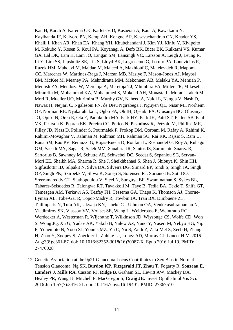Kan H, Karch A, Karema CK, Karletsos D, Kasaeian A, Kaul A, Kawakami N, Kayibanda JF, Keiyoro PN, Kemp AH, Kengne AP, Kesavachandran CN, Khader YS, Khalil I, Khan AR, Khan EA, Khang YH, Khubchandani J, Kim YJ, Kinfu Y, Kivipelto M, Kokubo Y, Kosen S, Koul PA, Koyanagi A, Defo BK, Bicer BK, Kulkarni VS, Kumar GA, Lal DK, Lam H, Lam JO, Langan SM, Lansingh VC, Larsson A, Leigh J, Leung R, Li Y, Lim SS, Lipshultz SE, Liu S, Lloyd BK, Logroscino G, Lotufo PA, Lunevicius R, Razek HM, Mahdavi M, Majdan M, Majeed A, Makhlouf C, Malekzadeh R, Mapoma CC, Marcenes W, Martinez-Raga J, Marzan MB, Masiye F, Mason-Jones AJ, Mayosi BM, McKee M, Meaney PA, Mehndiratta MM, Mekonnen AB, Melaku YA, Memiah P, Memish ZA, Mendoza W, Meretoja A, Meretoja TJ, Mhimbira FA, Miller TR, Mikesell J, Mirarefin M, Mohammad KA, Mohammed S, Mokdad AH, Monasta L, Moradi-Lakeh M, Mori R, Mueller UO, Murimira B, Murthy GV, Naheed A, Naldi L, Nangia V, Nash D, Nawaz H, Nejjari C, Ngalesoni FN, de Dieu Ngirabega J, Nguyen QL, Nisar MI, Norheim OF, Norman RE, Nyakarahuka L, Ogbo FA, Oh IH, Ojelabi FA, Olusanya BO, Olusanya JO, Opio JN, Oren E, Ota E, Padukudru MA, Park HY, Park JH, Patil ST, Patten SB, Paul VK, Pearson K, Peprah EK, Pereira CC, Perico N, **Pesudovs K**, Petzold M, Phillips MR, Pillay JD, Plass D, Polinder S, Pourmalek F, Prokop DM, Qorbani M, Rafay A, Rahimi K, Rahimi-Movaghar V, Rahman M, Rahman MH, Rahman SU, Rai RK, Rajsic S, Ram U, Rana SM, Rao PV, Remuzzi G, Rojas-Rueda D, Ronfani L, Roshandel G, Roy A, Ruhago GM, Saeedi MY, Sagar R, Saleh MM, Sanabria JR, Santos IS, Sarmiento-Suarez R, Sartorius B, Sawhney M, Schutte AE, Schwebel DC, Seedat S, Sepanlou SG, Servan-Mori EE, Shaikh MA, Sharma R, She J, Sheikhbahaei S, Shen J, Shibuya K, Shin HH, Sigfusdottir ID, Silpakit N, Silva DA, Silveira DG, Simard EP, Sindi S, Singh JA, Singh OP, Singh PK, Skirbekk V, Sliwa K, Soneji S, Sorensen RJ, Soriano JB, Soti DO, Sreeramareddy CT, Stathopoulou V, Steel N, Sunguya BF, Swaminathan S, Sykes BL, Tabarés-Seisdedos R, Talongwa RT, Tavakkoli M, Taye B, Tedla BA, Tekle T, Shifa GT, Temesgen AM, Terkawi AS, Tesfay FH, Tessema GA, Thapa K, Thomson AJ, Thorne-Lyman AL, Tobe-Gai R, Topor-Madry R, Towbin JA, Tran BX, Dimbuene ZT, Tsilimparis N, Tura AK, Ukwaja KN, Uneke CJ, Uthman OA, Venketasubramanian N, Vladimirov SK, Vlassov VV, Vollset SE, Wang L, Weiderpass E, Weintraub RG, Werdecker A, Westerman R, Wijeratne T, Wilkinson JD, Wiysonge CS, Wolfe CD, Won S, Wong JQ, Xu G, Yadav AK, Yakob B, Yalew AZ, Yano Y, Yaseri M, Yebyo HG, Yip P, Yonemoto N, Yoon SJ, Younis MZ, Yu C, Yu S, Zaidi Z, Zaki Mel S, Zeeb H, Zhang H, Zhao Y, Zodpey S, Zoeckler L, Zuhlke LJ, Lopez AD, Murray CJ. Lancet HIV. 2016 Aug;3(8):e361-87. doi: 10.1016/S2352-3018(16)30087-X. Epub 2016 Jul 19. PMID: 27470028

12 Genetic Association at the 9p21 Glaucoma Locus Contributes to Sex Bias in Normal-Tension Glaucoma. Ng SK, **Burdon KP**, **Fitzgerald JT**, **Zhou T**, Fogarty R, **Souzeau E**, **Landers J**, **Mills RA**, Casson RJ, **Ridge B**, Graham SL, Hewitt AW, Mackey DA, Healey PR, Wang JJ, Mitchell P, MacGregor S, **Craig JE**. Invest Ophthalmol Vis Sci. 2016 Jun 1;57(7):3416-21. doi: 10.1167/iovs.16-19401. PMID: 27367510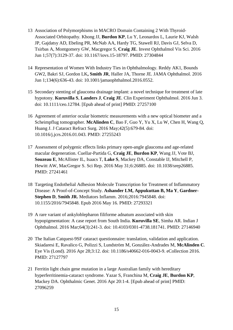- 13 Association of Polymorphisms in MACRO Domain Containing 2 With Thyroid-Associated Orbitopathy. Khong JJ, **Burdon KP**, Lu Y, Leonardos L, Laurie KJ, Walsh JP, Gajdatsy AD, Ebeling PR, McNab AA, Hardy TG, Stawell RJ, Davis GJ, Selva D, Tsirbas A, Montgomery GW, Macgregor S, **Craig JE**. Invest Ophthalmol Vis Sci. 2016 Jun 1;57(7):3129-37. doi: 10.1167/iovs.15-18797. PMID: 27304844
- 14 Representation of Women With Industry Ties in Ophthalmology. Reddy AK1, Bounds GW2, Bakri SJ, Gordon LK**, Smith JR**, Haller JA, Thorne JE. JAMA Ophthalmol. 2016 Jun 1;134(6):636-43. doi: 10.1001/jamaophthalmol.2016.0552.
- 15 Secondary stenting of glaucoma drainage implant: a novel technique for treatment of late hypotony. **Kuruvilla S**, **Landers J**, **Craig JE**. Clin Experiment Ophthalmol. 2016 Jun 3. doi: 10.1111/ceo.12784. [Epub ahead of print] PMID: 27257100
- 16 Agreement of anterior ocular biometric measurements with a new optical biometer and a Scheimpflug tomographer. **McAlinden C**, Bao F, Guo Y, Yu X, Lu W, Chen H, Wang Q, Huang J. J Cataract Refract Surg. 2016 May;42(5):679-84. doi: 10.1016/j.jcrs.2016.01.043. PMID: 27255243
- 17 Assessment of polygenic effects links primary open-angle glaucoma and age-related macular degeneration. Cuellar-Partida G, **Craig JE**, **Burdon KP**, Wang JJ, Vote BJ, **Souzeau E**, McAllister IL, Isaacs T, **Lake S**, Mackey DA, Constable IJ, Mitchell P, Hewitt AW, MacGregor S. Sci Rep. 2016 May 31;6:26885. doi: 10.1038/srep26885. PMID: 27241461
- 18 Targeting Endothelial Adhesion Molecule Transcription for Treatment of Inflammatory Disease: A Proof-of-Concept Study. **Ashander LM, Appukuttan B, Ma Y**, **Gardner-Stephen D**, **Smith JR.** Mediators Inflamm. 2016;2016:7945848. doi: 10.1155/2016/7945848. Epub 2016 May 16. PMID: 27293321
- 19 A rare variant of ankyloblepharon filiforme adnatum associated with skin hypopigmentation: A case report from South India. **Kuruvilla SE**, Simha AR. Indian J Ophthalmol. 2016 Mar;64(3):241-3. doi: 10.4103/0301-4738.181741. PMID: 27146940
- 20 The Italian Catquest-9SF cataract questionnaire: translation, validation and application. Skiadaresi E, Ravalico G, Polizzi S, Lundström M, González-Andrades M, **McAlinden C**. Eye Vis (Lond). 2016 Apr 28;3:12. doi: 10.1186/s40662-016-0043-9. eCollection 2016. PMID: 27127797
- 21 Ferritin light chain gene mutation in a large Australian family with hereditary hyperferritinemia-cataract syndrome. Yazar S, Franchina M, **Craig JE**, **Burdon KP**, Mackey DA. Ophthalmic Genet. 2016 Apr 20:1-4. [Epub ahead of print] PMID: 27096259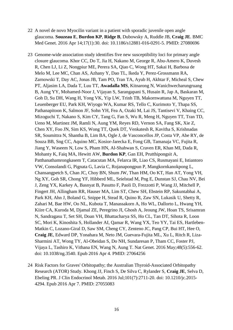- 22 A novel de novo Myocilin variant in a patient with sporadic juvenile open angle glaucoma. **Souzeau E**, **Burdon KP**, **Ridge B**, Dubowsky A, Ruddle JB, **Craig JE**. BMC Med Genet. 2016 Apr 14;17(1):30. doi: 10.1186/s12881-016-0291-5. PMID: 27080696
- 23 Genome-wide association study identifies five new susceptibility loci for primary angle closure glaucoma. Khor CC, Do T, Jia H, Nakano M, George R, Abu-Amero K, Duvesh R, Chen LJ, Li Z, Nongpiur ME, Perera SA, Qiao C, Wong HT, Sakai H, Barbosa de Melo M, Lee MC, Chan AS, Azhany Y, Dao TL, Ikeda Y, Perez-Grossmann RA, Zarnowski T, Day AC, Jonas JB, Tam PO, Tran TA, Ayub H, Akhtar F, Micheal S, Chew PT, Aljasim LA, Dada T, Luu TT, **Awadalla MS**, Kitnarong N, Wanichwecharungruang B, Aung YY, Mohamed-Noor J, Vijayan S, Sarangapani S, Husain R, Jap A, Baskaran M, Goh D, Su DH, Wang H, Yong VK, Yip LW, Trinh TB, Makornwattana M, Nguyen TT, Leuenberger EU, Park KH, Wiyogo WA, Kumar RS, Tello C, Kurimoto Y, Thapa SS, Pathanapitoon K, Salmon JF, Sohn YH, Fea A, Ozaki M, Lai JS, Tantisevi V, Khaing CC, Mizoguchi T, Nakano S, Kim CY, Tang G, Fan S, Wu R, Meng H, Nguyen TT, Tran TD, Ueno M, Martinez JM, Ramli N, Aung YM, Reyes RD, Vernon SA, Fang SK, Xie Z, Chen XY, Foo JN, Sim KS, Wong TT, Quek DT, Venkatesh R, Kavitha S, Krishnadas SR, Soumittra N, Shantha B, Lim BA, Ogle J, de Vasconcellos JP, Costa VP, Abe RY, de Souza BB, Sng CC, Aquino MC, Kosior-Jarecka E, Fong GB, Tamanaja VC, Fujita R, Jiang Y, Waseem N, Low S, Pham HN, Al-Shahwan S, Craven ER, Khan MI, Dada R, Mohanty K, Faiq MA, Hewitt AW, **Burdon KP**, Gan EH, Prutthipongsit A, Patthanathamrongkasem T, Catacutan MA, Felarca IR, Liao CS, Rusmayani E, Istiantoro VW, Consolandi G, Pignata G, Lavia C, Rojanapongpun P, Mangkornkanokpong L, Chansangpetch S, Chan JC, Choy BN, Shum JW, Than HM, Oo KT, Han AT, Yong VH, Ng XY, Goh SR, Chong YF, Hibberd ML, Seielstad M, Png E, Dunstan SJ, Chau NV, Bei J, Zeng YX, Karkey A, Basnyat B, Pasutto F, Paoli D, Frezzotti P, Wang JJ, Mitchell P, Fingert JH, Allingham RR, Hauser MA, Lim ST, Chew SH, Ebstein RP, Sakuntabhai A, Park KH, Ahn J, Boland G, Snippe H, Stead R, Quino R, Zaw SN, Lukasik U, Shetty R, Zahari M, Bae HW, Oo NL, Kubota T, Manassakorn A, Ho WL, Dallorto L, Hwang YH, Kiire CA, Kuroda M, Djamal ZE, Peregrino JI, Ghosh A, Jeoung JW, Hoan TS, Srisamran N, Sandragasu T, Set SH, Doan VH, Bhattacharya SS, Ho CL, Tan DT, Sihota R, Loon SC, Mori K, Kinoshita S, Hollander AI, Qamar R, Wang YX, Teo YY, Tai ES, Hartleben-Matkin C, Lozano-Giral D, Saw SM, Cheng CY, Zenteno JC, Pang CP, Bui HT, Hee O, **Craig JE**, Edward DP, Yonahara M, Neto JM, Guevara-Fujita ML, Xu L, Ritch R, Liza-Sharmini AT, Wong TY, Al-Obeidan S, Do NH, Sundaresan P, Tham CC, Foster PJ, Vijaya L, Tashiro K, Vithana EN, Wang N, Aung T. Nat Genet. 2016 May;48(5):556-62. doi: 10.1038/ng.3540. Epub 2016 Apr 4. PMID: 27064256
- 24 Risk Factors for Graves' Orbitopathy; the Australian Thyroid-Associated Orbitopathy Research (ATOR) Study. Khong JJ, Finch S, De Silva C, Rylander S, **Craig JE**, Selva D, Ebeling PR. J Clin Endocrinol Metab. 2016 Jul;101(7):2711-20. doi: 10.1210/jc.2015- 4294. Epub 2016 Apr 7. PMID: 27055083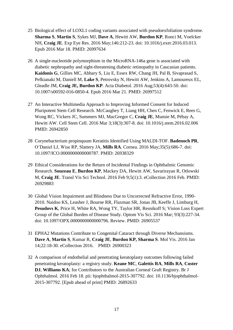- 25 Biological effect of LOXL1 coding variants associated with pseudoexfoliation syndrome. **Sharma S**, **Martin S**, Sykes MJ, **Dave A**, Hewitt AW, **Burdon KP**, Ronci M, Voelcker NH, **Craig JE**. Exp Eye Res. 2016 May;146:212-23. doi: 10.1016/j.exer.2016.03.013. Epub 2016 Mar 18. PMID: 26997634
- 26 A single-nucleotide polymorphism in the MicroRNA-146a gene is associated with diabetic nephropathy and sight-threatening diabetic retinopathy in Caucasian patients. **Kaidonis G**, Gillies MC, Abhary S, Liu E, Essex RW, Chang JH, Pal B, Sivaprasad S, Pefkianaki M, Daniell M, **Lake S**, Petrovsky N, Hewitt AW, Jenkins A, Lamoureux EL, Gleadle JM, **Craig JE, Burdon KP**. Acta Diabetol. 2016 Aug;53(4):643-50. doi: 10.1007/s00592-016-0850-4. Epub 2016 Mar 21. PMID: 26997512
- 27 An Interactive Multimedia Approach to Improving Informed Consent for Induced Pluripotent Stem Cell Research. McCaughey T, Liang HH, Chen C, Fenwick E, Rees G, Wong RC, Vickers JC, Summers MJ, MacGregor C, **Craig JE**, Munsie M, Pébay A, Hewitt AW. Cell Stem Cell. 2016 Mar 3;18(3):307-8. doi: 10.1016/j.stem.2016.02.006 PMID: 26942850
- 28 Corynebacterium propinquum Keratitis Identified Using MALDI-TOF. **Badenoch PR**, O'Daniel LJ, Wise RP, Slattery JA, **Mills RA**. Cornea. 2016 May;35(5):686-7. doi: 10.1097/ICO.0000000000000787. PMID: 26938329
- 29 Ethical Considerations for the Return of Incidental Findings in Ophthalmic Genomic Research. **Souzeau E**, **Burdon KP**, Mackey DA, Hewitt AW, Savarirayan R, Otlowski M, **Craig JE**. Transl Vis Sci Technol. 2016 Feb 9;5(1):3. eCollection 2016 Feb. PMID: 26929883
- 30 Global Vision Impairment and Blindness Due to Uncorrected Refractive Error, 1990- 2010. Naidoo KS, Leasher J, Bourne RR, Flaxman SR, Jonas JB, Keeffe J, Limburg H, **Pesudovs K**, Price H, White RA, Wong TY, Taylor HR, Resnikoff S; Vision Loss Expert Group of the Global Burden of Disease Study. Optom Vis Sci. 2016 Mar; 93(3):227-34. doi: 10.1097/OPX.0000000000000796. Review. PMID: 26905537
- 31 EPHA2 Mutations Contribute to Congenital Cataract through Diverse Mechansisms. **Dave A**, **Martin S**, Kumar R, **Craig JE**, **Burdon KP, Sharma S**. Mol Vis. 2016 Jan 14;22:18-30. eCollection 2016. PMID: 26900323
- 32 A comparison of endothelial and penetrating keratoplasty outcomes following failed penetrating keratoplasty: a registry study. **Keane MC**, **Galettis RA**, **Mills RA**, **Coster DJ**, **Williams KA**; for Contributors to the Australian Corneal Graft Registry. Br J Ophthalmol. 2016 Feb 18. pii: bjophthalmol-2015-307792. doi: 10.1136/bjophthalmol-2015-307792. [Epub ahead of print] PMID: 26892633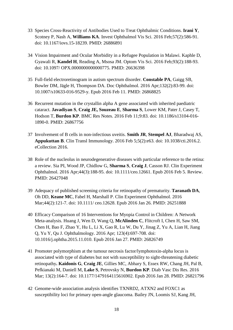- 33 Species Cross-Reactivity of Antibodies Used to Treat Ophthalmic Conditions. **Irani Y**, Scotney P, Nash A, **Williams KA**. Invest Ophthalmol Vis Sci. 2016 Feb;57(2):586-91. doi: 10.1167/iovs.15-18239. PMID: 26886891
- 34 Vision Impairment and Ocular Morbidity in a Refugee Population in Malawi. Kaphle D, Gyawali R, **Kandel H**, Reading A, Msosa JM. Optom Vis Sci. 2016 Feb;93(2):188-93. doi: 10.1097/ OPX.0000000000000775. PMID: 26636398
- 35 Full-field electroretinogram in autism spectrum disorder. **Constable PA**, Gaigg SB, Bowler DM, Jägle H, Thompson DA. Doc Ophthalmol. 2016 Apr;132(2):83-99. doi: 10.1007/s10633-016-9529-y. Epub 2016 Feb 11. PMID: 26868825
- 36 Recurrent mutation in the crystallin alpha A gene associated with inherited paediatric cataract. **Javadiyan S**, **Craig JE, Souzeau E**, **Sharma S**, Lower KM, Pater J, Casey T, Hodson T, **Burdon KP**. BMC Res Notes. 2016 Feb 11;9:83. doi: 10.1186/s13104-016- 1890-0. PMID: 26867756
- 37 Involvement of B cells in non-infectious uveitis. **Smith JR**, **Stempel AJ**, Bharadwaj AS, **Appukuttan B**. Clin Transl Immunology. 2016 Feb 5;5(2):e63. doi: 10.1038/cti.2016.2. eCollection 2016.
- 38 Role of the nucleolus in neurodegenerative diseases with particular reference to the retina: a review. Sia PI, Wood JP, Chidlow G, **Sharma S**, **Craig J**, Casson RJ. Clin Experiment Ophthalmol. 2016 Apr;44(3):188-95. doi: 10.1111/ceo.12661. Epub 2016 Feb 5. Review. PMID: 26427048
- 39 Adequacy of published screening criteria for retinopathy of prematurity. **Taranath DA**, Oh DD, **Keane MC**, Fabel H, Marshall P. Clin Experiment Ophthalmol. 2016 Mar;44(2):121-7. doi: 10.1111/ ceo.12628. Epub 2016 Jan 26. PMID: 26251888
- 40 Efficacy Comparison of 16 Interventions for Myopia Control in Children: A Network Meta-analysis. Huang J, Wen D, Wang Q, **McAlinden C**, Flitcroft I, Chen H, Saw SM, Chen H, Bao F, Zhao Y, Hu L, Li X, Gao R, Lu W, Du Y, Jinag Z, Yu A, Lian H, Jiang Q, Yu Y, Qu J. Ophthalmology. 2016 Apr; 123(4):697-708. doi: 10.1016/j.ophtha.2015.11.010. Epub 2016 Jan 27. PMID: 26826749
- 41 Promoter polymorphism at the tumour necrosis factor/lymphotoxin-alpha locus is associated with type of diabetes but not with susceptibility to sight-threatening diabetic retinopathy**. Kaidonis G**, **Craig JE**, Gillies MC, Abhary S, Essex RW, Chang JH, Pal B, Pefkianaki M, Daniell M, **Lake S**, Petrovsky N, **Burdon KP**. Diab Vasc Dis Res. 2016 Mar; 13(2):164-7. doi: 10.1177/1479164115616902. Epub 2016 Jan 28. PMID: 26821796
- 42 Genome-wide association analysis identifies TXNRD2, ATXN2 and FOXC1 as susceptibility loci for primary open-angle glaucoma. Bailey JN, Loomis SJ, Kang JH,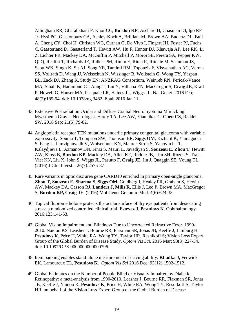Allingham RR, Gharahkhani P, Khor CC, **Burdon KP**, Aschard H, Chasman DI, Igo RP Jr, Hysi PG, Glastonbury CA, Ashley-Koch A, Brilliant M, Brown AA, Budenz DL, Buil A, Cheng CY, Choi H, Christen WG, Curhan G, De Vivo I, Fingert JH, Foster PJ, Fuchs C, Gaasterland D, Gaasterland T, Hewitt AW, Hu F, Hunter DJ, Khawaja AP, Lee RK, Li Z, Lichter PR, Mackey DA, McGuffin P, Mitchell P, Moroi SE, Perera SA, Pepper KW, Qi Q, Realini T, Richards JE, Ridker PM, Rimm E, Ritch R, Ritchie M, Schuman JS, Scott WK, Singh K, Sit AJ, Song YE, Tamimi RM, Topouzis F, Viswanathan AC, Verma SS, Vollrath D, Wang JJ, Weisschuh N, Wissinger B, Wollstein G, Wong TY, Yaspan BL, Zack DJ, Zhang K, Study EN; ANZRAG Consortium, Weinreb RN, Pericak-Vance MA, Small K, Hammond CJ, Aung T, Liu Y, Vithana EN, MacGregor S, **Craig JE**, Kraft P, Howell G, Hauser MA, Pasquale LR, Haines JL, Wiggs JL. Nat Genet. 2016 Feb; 48(2):189-94. doi: 10.1038/ng.3482. Epub 2016 Jan 11.

- 43 [Extensive Postradiation Ocular and Diffuse Cranial Neuromyotonia Mimicking](https://www.ncbi.nlm.nih.gov/pubmed/27564076)  [Myasthenia Gravis.](https://www.ncbi.nlm.nih.gov/pubmed/27564076) Neurologist. Hardy TA, Lee AW, Yiannikas C, **Chen CS**, Reddel SW. 2016 Sep; 21(5):79-82.
- 44 Angiopoietin receptor TEK mutations underlie primary congenital glaucoma with variable expressivity. Souma T, Tompson SW, Thomson BR, **Siggs OM**, Kizhatil K, Yamaguchi S, Feng L, Limviphuvadh V, Whisenhunt KN, Maurer-Stroh S, Yanovitch TL, Kalaydjieva L, Azmanov DN, Finzi S, Mauri L, Javadiyan S, **Souzeau E, Zhou T**, Hewitt AW, Kloss B, **Burdon KP**, Mackey DA, Allen KF, Ruddle JB, Lim SH, Rozen S, Tran-Viet KN, Liu X, John S, Wiggs JL, Pasutto F, **Craig JE**, Jin J, Quaggin SE, Young TL. (2016) J Clin Invest. 126(7):2575-87
- 45 Rare variants in optic disc area gene CARD10 enriched in primary open-angle glaucoma. **Zhou T**, **Souzeau E, Sharma S, Siggs OM**, Goldberg I, Healey PR, Graham S, Hewitt AW, Mackey DA, Casson RJ, **Landers J, Mills R**, Ellis J, Leo P, Brown MA, MacGregor S, **Burdon KP, Craig JE**. (2016) Mol Genet Genomic Med. 4(6):624-33.
- 46 Topical fluorometholone protects the ocular surface of dry eye patients from desiccating stress: a randomized controlled clinical trial. **Estevez J**, **Pesudovs K.** Ophthalmology. 2016;123:141-53.
- 47 Global Vision Impairment and Blindness Due to Uncorrected Refractive Error, 1990- 2010. Naidoo KS, Leasher J, Bourne RR, Flaxman SR, Jonas JB, Keeffe J, Limburg H, **Pesudovs K**, Price H, White RA, Wong TY, Taylor HR, Resnikoff S; Vision Loss Expert Group of the Global Burden of Disease Study. *Optom Vis Sci*. 2016 Mar; 93(3):227-34. doi: 10.1097/OPX.0000000000000796.
- 48 Item banking enables stand-alone measurement of driving ability. **Khadka J,** Fenwick EK, Lamoureux EL, **Pesudovs K**. *Optom Vis Sci* 2016 Dec; 93(12):1502-1512.
- 49 Global Estimates on the Number of People Blind or Visually Impaired by Diabetic Retinopathy: a meta-analysis from 1990-2010. Leasher J, Bourne RR, Flaxman SR, Jonas JB, Keeffe J, Naidoo K, **Pesudovs K**, Price H, White RA, Wong TY, Resnikoff S, Taylor HR, on behalf of the Vision Loss Expert Group of the Global Burden of Disease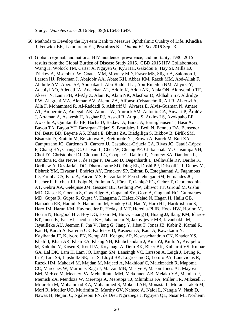Study. *Diabetes Care* 2016 Sep; 39(9):1643-1649.

- 50 Methods to Develop the Eye-tem Bank to Measure Ophthalmic Quality of Life. **Khadka J**, Fenwick EK, Lamoureux EL, **Pesudovs K**. *Optom Vis Sci* 2016 Sep 23.
- 51 Global, regional, and national HIV incidence, prevalence, and mortality, 1980–2015: results from the Global Burden of Disease Study 2015. GBD 2015 HIV Collaborators, Wang H, Wolock TM, Carter A, Nguyen G, Kyu HH, Gakidou E, Hay SI, Mills EJ, Trickey A, Msemburi W, Coates MM, Mooney MD, Fraser MS, Sligar A, Salomon J, Larson HJ, Friedman J, Abajobir AA, Abate KH, Abbas KM, Razek MM, Abd-Allah F, Abdulle AM, Abera SF, Abubakar I, Abu-Raddad LJ, Abu-Rmeileh NM, Abyu GY, Adebiyi AO, Adedeji IA, Adelekan AL, Adofo K, Adou AK, Ajala ON, Akinyemiju TF, Akseer N, Lami FH, Al-Aly Z, Alam K, Alam NK, Alasfoor D, Aldhahri SF, Aldridge RW, Alegretti MA, Aleman AV, Alemu ZA, Alfonso-Cristancho R, Ali R, Alkerwi A, Alla F, Mohammad R, Al-Raddadi S, Alsharif U, Alvarez E, Alvis-Guzman N, Amare AT, Amberbir A, Amegah AK, Ammar W, Amrock SM, Antonio CA, Anwari P, Ärnlöv J, Artaman A, Asayesh H, Asghar RJ, Assadi R, Atique S, Atkins LS, Avokpaho EF, Awasthi A, Quintanilla BP, Bacha U, Badawi A, Barac A, Bärnighausen T, Basu A, Bayou TA, Bayou YT, Bazargan-Hejazi S, Beardsley J, Bedi N, Bennett DA, Bensenor IM, Betsu BD, Beyene AS, Bhatia E, Bhutta ZA, Biadgilign S, Bikbov B, Birlik SM, Bisanzio D, Brainin M, Brazinova A, Breitborde NJ, Brown A, Burch M, Butt ZA, Campuzano JC, Cárdenas R, Carrero JJ, Castañeda-Orjuela CA, Rivas JC, Catalá-López F, Chang HY, Chang JC, Chavan L, Chen W, Chiang PP, Chibalabala M, Chisumpa VH, Choi JY, Christopher DJ, Ciobanu LG, Cooper C, Dahiru T, Damtew SA, Dandona L, Dandona R, das Neves J, de Jager P, De Leo D, Degenhardt L, Dellavalle RP, Deribe K, Deribew A, Des Jarlais DC, Dharmaratne SD, Ding EL, Doshi PP, Driscoll TR, Dubey M, Elshrek YM, Elyazar I, Endries AY, Ermakov SP, Eshrati B, Esteghamati A, Faghmous ID, Farinha CS, Faro A, Farvid MS, Farzadfar F, Fereshtehnejad SM, Fernandes JC, Fischer F, Fitchett JR, Foigt N, Fullman N, Fürst T, Gankpé FG, Gebre T, Gebremedhin AT, Gebru AA, Geleijnse JM, Gessner BD, Gething PW, Ghiwot TT, Giroud M, Gishu MD, Glaser E, Goenka S, Goodridge A, Gopalani SV, Goto A, Gugnani HC, Guimaraes MD, Gupta R, Gupta R, Gupta V, Haagsma J, Hafezi-Nejad N, Hagan H, Hailu GB, Hamadeh RR, Hamidi S, Hammami M, Hankey GJ, Hao Y, Harb HL, Harikrishnan S, Haro JM, Harun KM, Havmoeller R, Hedayati MT, Heredia-Pi IB, Hoek HW, Horino M, Horita N, Hosgood HD, Hoy DG, Hsairi M, Hu G, Huang H, Huang JJ, Iburg KM, Idrisov BT, Innos K, Iyer VJ, Jacobsen KH, Jahanmehr N, Jakovljevic MB, Javanbakht M, Jayatilleke AU, Jeemon P, Jha V, Jiang G, Jiang Y, Jibat T, Jonas JB, Kabir Z, Kamal R, Kan H, Karch A, Karema CK, Karletsos D, Kasaeian A, Kaul A, Kawakami N, Kayibanda JF, Keiyoro PN, Kemp AH, Kengne AP, Kesavachandran CN, Khader YS, Khalil I, Khan AR, Khan EA, Khang YH, Khubchandani J, Kim YJ, Kinfu Y, Kivipelto M, Kokubo Y, Kosen S, Koul PA, Koyanagi A, Defo BK, Bicer BK, Kulkarni VS, Kumar GA, Lal DK, Lam H, Lam JO, Langan SM, Lansingh VC, Larsson A, Leigh J, Leung R, Li Y, Lim SS, Lipshultz SE, Liu S, Lloyd BK, Logroscino G, Lotufo PA, Lunevicius R, Razek HM, Mahdavi M, Majdan M, Majeed A, Makhlouf C, Malekzadeh R, Mapoma CC, Marcenes W, Martinez-Raga J, Marzan MB, Masiye F, Mason-Jones AJ, Mayosi BM, McKee M, Meaney PA, Mehndiratta MM, Mekonnen AB, Melaku YA, Memiah P, Memish ZA, Mendoza W, Meretoja A, Meretoja TJ, Mhimbira FA, Miller TR, Mikesell J, Mirarefin M, Mohammad KA, Mohammed S, Mokdad AH, Monasta L, Moradi-Lakeh M, Mori R, Mueller UO, Murimira B, Murthy GV, Naheed A, Naldi L, Nangia V, Nash D, Nawaz H, Nejjari C, Ngalesoni FN, de Dieu Ngirabega J, Nguyen QL, Nisar MI, Norheim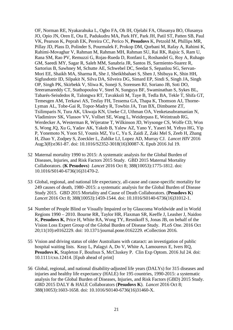OF, Norman RE, Nyakarahuka L, Ogbo FA, Oh IH, Ojelabi FA, Olusanya BO, Olusanya JO, Opio JN, Oren E, Ota E, Padukudru MA, Park HY, Park JH, Patil ST, Patten SB, Paul VK, Pearson K, Peprah EK, Pereira CC, Perico N, **Pesudovs** K, Petzold M, Phillips MR, Pillay JD, Plass D, Polinder S, Pourmalek F, Prokop DM, Qorbani M, Rafay A, Rahimi K, Rahimi-Movaghar V, Rahman M, Rahman MH, Rahman SU, Rai RK, Rajsic S, Ram U, Rana SM, Rao PV, Remuzzi G, Rojas-Rueda D, Ronfani L, Roshandel G, Roy A, Ruhago GM, Saeedi MY, Sagar R, Saleh MM, Sanabria JR, Santos IS, Sarmiento-Suarez R, Sartorius B, Sawhney M, Schutte AE, Schwebel DC, Seedat S, Sepanlou SG, Servan-Mori EE, Shaikh MA, Sharma R, She J, Sheikhbahaei S, Shen J, Shibuya K, Shin HH, Sigfusdottir ID, Silpakit N, Silva DA, Silveira DG, Simard EP, Sindi S, Singh JA, Singh OP, Singh PK, Skirbekk V, Sliwa K, Soneji S, Sorensen RJ, Soriano JB, Soti DO, Sreeramareddy CT, Stathopoulou V, Steel N, Sunguya BF, Swaminathan S, Sykes BL, Tabarés-Seisdedos R, Talongwa RT, Tavakkoli M, Taye B, Tedla BA, Tekle T, Shifa GT, Temesgen AM, Terkawi AS, Tesfay FH, Tessema GA, Thapa K, Thomson AJ, Thorne-Lyman AL, Tobe-Gai R, Topor-Madry R, Towbin JA, Tran BX, Dimbuene ZT, Tsilimparis N, Tura AK, Ukwaja KN, Uneke CJ, Uthman OA, Venketasubramanian N, Vladimirov SK, Vlassov VV, Vollset SE, Wang L, Weiderpass E, Weintraub RG, Werdecker A, Westerman R, Wijeratne T, Wilkinson JD, Wiysonge CS, Wolfe CD, Won S, Wong JQ, Xu G, Yadav AK, Yakob B, Yalew AZ, Yano Y, Yaseri M, Yebyo HG, Yip P, Yonemoto N, Yoon SJ, Younis MZ, Yu C, Yu S, Zaidi Z, Zaki Mel S, Zeeb H, Zhang H, Zhao Y, Zodpey S, Zoeckler L, Zuhlke LJ, Lopez AD, Murray CJ. *Lancet HIV* 2016 Aug;3(8):e361-87. doi: 10.1016/S2352-3018(16)30087-X. Epub 2016 Jul 19.

- 52 Maternal mortality 1990 to 2015: A systematic analysis for the Global Burden of Diseases, Injuries, and Risk Factors 2015 Study. GBD 2015 Maternal Mortality Collaborators. (**K Pesudovs**) *Lancet* 2016 Oct 8; 388(10053):1775-1812. doi: 10.1016/S0140-6736(16)31470-2.
- 53 Global, regional, and national life expectancy, all-cause and cause-specific mortality for 249 causes of death, 1980–2015: a systematic analysis for the Global Burden of Disease Study 2015. GBD 2015 Mortality and Cause of Death Collaborators. (**Pesudovs K**) *Lancet* 2016 Oct 8; 388(10053):1459-1544. doi: 10.1016/S0140-6736(16)31012-1.
- 54 Number of People Blind or Visually Impaired or by Glaucoma Worldwide and in World Regions 1990 – 2010. Bourne RR, Taylor HR, Flaxman SR, Keeffe J, Leasher J, Naidoo K, **Pesudovs K**, Price H, White RA, Wong TY, Resnikoff S, Jonas JB, on behalf of the Vision Loss Expert Group of the Global Burden of Disease Study. PLoS One. 2016 Oct 20;11(10):e0162229. doi: 10.1371/journal.pone.0162229. eCollection 2016.
- 55 Vision and driving status of older Australians with cataract: an investigation of public hospital waiting lists. Keay L, Palagyi A, Do V, White A, Lamoureux E, Ivers RQ, **Pesudovs K**, Stapleton F, Boufous S, McCluskey P. Clin Exp Optom. 2016 Jul 24. doi: 10.1111/cxo.12414. [Epub ahead of print]
- 56 Global, regional, and national disability-adjusted life years (DALYs) for 315 diseases and injuries and healthy life expectancy (HALE) for 195 countries, 1990-2015: a systematic analysis for the Global Burden of Diseases, Injuries, and Risk Factors (GBD) 2015 Study. GBD 2015 DALY & HALE Collaborators (**Pesudovs K**). *Lancet* 2016 Oct 8; 388(10053):1603-1658. doi: 10.1016/S0140-6736(16)31460-X.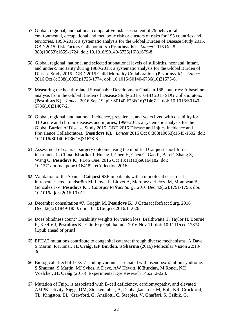- 57 Global, regional, and national comparative risk assessment of 79 behavioral, environmental, occupational and metabolic risk or clusters of risks for 195 countries and territories, 1990-2015: a systematic analysis for the Global Burden of Disease Study 2015. GBD 2015 Risk Factors Collaborators. (**Pesudovs K**). *Lancet* 2016 Oct 8; 388(10053):1659-1724. doi: 10.1016/S0140-6736(16)31679-8.
- 58 Global, regional, national and selected subnational levels of stillbirths, neonatal, infant, and under-5 mortality during 1980-2015: a systematic analysis for the Global Burden of Disease Study 2015. GBD 2015 Child Mortality Collaboration. (**Pesudovs K**). *Lancet* 2016 Oct 8; 388(10053):1725-1774. doi: 10.1016/S0140-6736(16)31575-6.
- 59 Measuring the health-related Sustainable Development Goals in 188 countries: A baseline analysis from the Global Burden of Disease Study 2015. GBD 2015 SDG Collaborators. (**Pesudovs K**). *Lancet* 2016 Sep 19. pii: S0140-6736(16)31467-2. doi: 10.1016/S0140- 6736(16)31467-2.
- 60 Global, regional, and national incidence, prevalence, and years lived with disability for 310 acute and chronic diseases and injuries, 1990-2015: a systematic analysis for the Global Burden of Disease Study 2015. GBD 2015 Disease and Injury Incidence and Prevalence Collaborators. (**Pesudovs K**). *Lancet* 2016 Oct 8;388(10053):1545-1602. doi: 10.1016/S0140-6736(16)31678-6.
- 61 Assessment of cataract surgery outcome using the modified Catquest short-form instrument in China. **Khadka J**, Hunag J, Chen H, Chen C, Gao R, Bao F, Zhang S, Wang Q, **Pesudovs K**. PLoS One. 2016 Oct 13;11(10):e0164182. doi: 10.1371/journal.pone.0164182. eCollection 2016.
- 62 Validation of the Spanish Catquest-9SF in patients with a monofocal or trifocal intraocular lens. Lundström M, Llovet F, Llovet A, Martinez del Pozo M, Mompean B, Gonzalez J-V, **Pesudovs K**. *J Cataract Refract Surg*. 2016 Dec;42(12):1791-1796. doi: 10.1016/j.jcrs.2016.10.011.
- 63 December consultation #7. Goggin M, **Pesudovs K**. J Cataract Refract Surg. 2016 Dec;42(12):1849-1850. doi: 10.1016/j.jcrs.2016.11.026.
- 64 Does blindness count? Disability weights for vision loss. Braithwaite T, Taylor H, Bourne R, Keeffe J, **Pesudovs K**. Clin Exp Ophthalmol. 2016 Nov 11. doi: 10.1111/ceo.12874. [Epub ahead of print]
- 65 EPHA2 mutations contribute to congenital cataract through diverse mechanisms. A Dave, S Martin, R Kumar, **JE Craig, KP Burdon, S Sharma** (2016) Molecular Vision 22:18- 30.
- 66 Biological effect of LOXL1 coding variants associated with pseudoexfoliation syndrome. **S Sharma**, S Martin, MJ Sykes, A Dave, AW Hewitt, **K Burdon**, M Ronci, NH Voelcker, **JE Craig** (2016) Experimental Eye Research 146:212-223.
- 67 Mutation of Fnip1 is associated with B-cell deficiency, cardiomyopathy, and elevated AMPK activity. **Siggs, OM**, Stockenhuber, A, Deobagkar-Lele, M, Bull, KR, Crockford, TL, Kingston, BL, Crawford, G, Anzilotti, C, Steeples, V, Ghaffari, S, Czibik, G,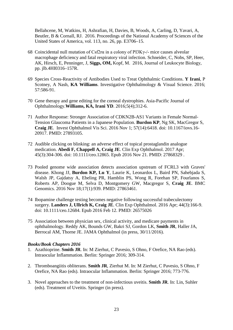Bellahcene, M, Watkins, H, Ashrafian, H, Davies, B, Woods, A, Carling, D, Yavari, A, Beutler, B & Cornall, RJ. 2016. Proceedings of the National Academy of Sciences of the United States of America, vol. 113, no. 26, pp. E3706–15.

- 68 Coincidental null mutation of Csf2rα in a colony of PI3Kγ-/- mice causes alveolar macrophage deficiency and fatal respiratory viral infection. Schneider, C, Nobs, SP, Heer, AK, Hirsch, E, Penninger, J, **Siggs, OM,** Kopf, M. 2016, Journal of Leukocyte Biology, pp. jlb.4HI0316–157R.
- 69 Species Cross-Reactivity of Antibodies Used to Treat Ophthalmic Conditions. **Y Irani**, P Scotney, A Nash, **KA Williams**. Investigative Ophthalmology & Visual Science. 2016; 57:586-91.
- 70 Gene therapy and gene editing for the corneal dystrophies. Asia-Pacific Journal of Ophthalmology.**Williams, KA, Irani YD**. 2016;5(4);312-6.
- 71 Author Response: Stronger Association of CDKN2B-AS1 Variants in Female Normal-Tension Glaucoma Patients in a Japanese Population. **Burdon KP**, Ng SK, MacGregor S, **Craig JE**. Invest Ophthalmol Vis Sci. 2016 Nov 1; 57(14):6418. doi: 10.1167/iovs.16- 20917. PMID: 27893105.
- 72 Audible clicking on blinking: an adverse effect of topical prostaglandin analogue medication. **Abedi F, Chappell A, Craig JE**. Clin Exp Ophthalmol. 2017 Apr; 45(3):304-306. doi: 10.1111/ceo.12865. Epub 2016 Nov 21. PMID: 27868329 .
- 73 Pooled genome wide association detects association upstream of FCRL3 with Graves' disease. Khong JJ, **Burdon KP, Lu Y**, Laurie K, Leonardos L, Baird PN, Sahebjada S, Walsh JP, Gajdatsy A, Ebeling PR, Hamblin PS, Wong R, Forehan SP, Fourlanos S, Roberts AP, Doogue M, Selva D, Montgomery GW, Macgregor S, **Craig JE**. BMC Genomics. 2016 Nov 18;17(1):939. PMID: 27863461.
- 74 Ibopamine challenge testing becomes negative following successful trabeculectomy surgery. **Landers J, Ullrich K, Craig JE**. Clin Exp Ophthalmol. 2016 Apr; 44(3):166-9. doi: 10.1111/ceo.12684. Epub 2016 Feb 12. PMID: 26575026
- 75 Association between physician sex, clinical activity, and medicare payments in ophthalmology. Reddy AK, Bounds GW, Bakri SJ, Gordon LK, **Smith JR**, Haller JA, Berrocal AM, Thorne JE. JAMA Ophthalmol (in press, 30/11/2016).

#### *Books/Book Chapters 2016*

- 1. Azathioprine. **Smith JR**. In: M Zierhut, C Pavesio, S Ohno, F Orefice, NA Rao (eds). Intraocular Inflammation. Berlin: Springer 2016; 309-314.
- 2. Thromboangiitis obliterans. **Smith JR**, Zierhut M. In: M Zierhut, C Pavesio, S Ohno, F Orefice, NA Rao (eds). Intraocular Inflammation. Berlin: Springer 2016; 773-776.
- 3. Novel approaches to the treatment of non-infectious uveitis. **Smith JR**. In: Lin, Suhler (eds). Treatment of Uveitis. Springer (in press).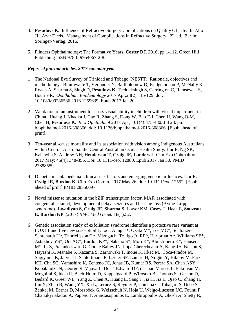- 4. **Pesudovs K**. Influence of Refractive Surgery Complications on Quality Of Life. In Alio JL, Azar D eds. Management of Complications in Refractive Surgery.  $2<sup>nd</sup>$  ed. Berlin: Springer-Verlag. 2016.
- 5. Flinders Ophthalmology: The Formative Years. **Coster DJ**. 2016, pp 1-112. Green Hill Publishing ISSN 978-0-9954067-2-8.

#### *Refereed journal articles, 2017 calendar year*

- 1 The National Eye Survey of Trinidad and Tobago (NESTT): Rationale, objectives and methodology. Braithwaite T, Verlander N, Bartholomew D, Bridgemohan P, McNally K, Roach A, Sharma S, Singh D, **Pesudovs K**, Teelucksingh S, Carrington C, Ramsewak S, Bourne R. *Ophthalmic Epidemiology* 2017 Apr;24(2):116-129. doi: 10.1080/09286586.2016.1259639. Epub 2017 Jan 20.
- 2 Validation of an instrument to assess visual ability in children with visual impairment in China. Huang J, Khadka J, Gao R, Zhang S, Dong W, Bao F-J, Chen H, Wang Q-M, Chen H, **Pesudovs K**. *Br J Ophthalmol* 2017 Apr; 101(4):475-480. Jul 28. pii: bjophthalmol-2016-308866. doi: 10.1136/bjophthalmol-2016-308866. [Epub ahead of print].
- 3 Ten-year all-cause mortality and its association with vision among Indigenous Australians within Central Australia: the Central Australian Ocular Health Study. **Liu E**, Ng SK, Kahawita S, Andrew NH, **Henderson T, Craig JE, Landers J**. Clin Exp Ophthalmol. 2017 May; 45(4): 348-356. Doi: 10.1111/ceo. 12880, Epub 2017 Jan 30. PMID 27888559.
- 4 Diabetic macula oedema: clinical risk factors and emerging genetic influences. **Liu E, Craig JE, Burdon K**. Clin Exp Optom. 2017 May 26. doi: 10.1111/cxo.12552. [Epub ahead of print] PMID 28556097.
- 5 Novel missense mutation in the bZIP transcription factor, MAF, associated with congenital cataract, developmental delay, seizures and hearing loss (Aymé-Gripp syndrome). **Javadiyan S, Craig JE, Sharma S**, Lower KM, Casey T, Haan E, **Souzeau E, Burdon KP**. (2017) *BMC Med Genet.* 18(1):52.
- 6 Genetic association study of exfoliation syndrome identifies a protective rare variant at LOXL1 and five new susceptibility loci. Aung T\*, Ozaki M\*, Lee MC\*, Schlötzer-Schrehardt U\*, Thorleifsson G\*, Mizoguchi T\*, Igo Jr. RP\*, Haripriya A\*, Williams SE\*, Astakhov YS\*, Orr AC\*, Burdon KP\*, Nakano S\*, Mori K\*, Abu-Amero K\*, Hauser M\*, Li Z, Prakadeeswari G, Cooke Bailey JN, Popa Cherecheanu A, Kang JH, Nelson S, Hayashi K, Manabe S, Kazama S, Zarnowski T, Inoue K, Irkec M, Coca-Prados M, Sugiyama K, Järvelä I, Schlottmann P, Lerner SF, Lamari H, Nilgün Y, Bikbov M, Park KH, Cha SC, Yamashiro K, Zenteno JC, Jonas JB, Kumar RS, Perera SA, Chan ASY, Kobakhidze N, George R, Vijaya L, Do T, Edward DP, de Juan Marcos L, Pakravan M, Moghimi S, Ideta R, Bach-Holm D, Kappelgaard P, Wirostko B, Thomas S, Gaston D, Bedard K, Greer WL, Yang Z, Chen X, Huang L, Sang J, Jia H, Jia L, Qiao C, Zhang H, Liu X, Zhao B, Wang YX, Xu L, Leruez S, Reynier P, Chichua G, Tabagari S, Uebe S, Zenkel M, Berner D, Mossböck G, Weisschuh N, Hoja U, Welge-Luessen UC, Founti P, Chatzikyriakidou A, Pappas T, Anastasopoulos E, Lambropoulos A, Ghosh A, Shetty R,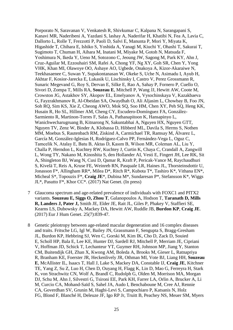Porporato N, Saravanan V, Venkatesh R, Shivkumar C, Kalpana N, Sarangapani S, Kanavi MR, Naderibeni A, Yazdani S, lashay A, Naderifar H, Khatibi N, Fea A, Lavia C, Dallorto L, Rolle T, Frezzotti P, Paoli D, Salvi E, Manunta P, Mori Y, Miyata K, Higashide T, Chihara E, Ishiko S, Yoshida A, Yanagi M, Kiuchi Y, Ohashi T, Sakurai T, Sugimoto T, Chuman H, Aihara M, Inatani M, Miyake M, Gotoh N, Matsuda F, Yoshimura N, Ikeda Y, Ueno M, Sotozono C, Jeoung JW, Sagong M, Park KY, Ahn J, Cruz-Aguilar M, Ezzouhairi SM, Rafei A, Chong YF, Ng XY, Goh SR, Chen Y, Yong VHK, Khan MI, Olawoye OO, Ashaye AO, Ugbede, Onakoya A, Kizor-Akaraiwe N, Teekhasaenee C, Suwan Y, Supakontanasan W, Okeke S, Uche N, Asimadu I, Ayub H, Akhtar F, Kosior-Jarecka E, Lukasik U, Lischinsky I, Castro V, Perez Grossmann R, Sunaric Megevand G, Roy S, Dervan E, Silke E, Rao A, Sahay P, Fornero P, Cuello O, Sivori D, Zompa T, Mills RA, **Souzeau E**, Mitchell P, Wang JJ, Hewitt AW, Coote M, Crowston JG, Astakhov SY, Akopov EL, Emelyanov A, Vysochinskaya V, Kazakbaeva G, Fayzrakhmanov R, Al-Obeidan SA, Owaydhah O, Ali Aljasim L, Chowbay B, Foo JN, Soh RQ, Sim KS, Xie Z, Cheong AWO, Mok SQ, Soo HM, Chen XY, Peh SQ, Heng KK, Husain R, Ho SL, Hillmer AM, Cheng CY, Escudero-Domínguez FA, González-Sarmiento R, Martinon-Torres F, Salas A, Pathanapitoon K, Hansapinyo L, Wanichwecharugruang B, Kitnarong N, Sakuntabhai A, Nguyen HX, Nguyen GTT, Nguyen TV, Zenz W, Binder A, Klobassa D, Hibberd ML, Davila S, Herms S, Nothen MM, Moebus S, Rautenbach RM, Ziskind A, Carmichael TR, Ramsay M, Álvarez L, García M, González-Iglesias H, Rodríguez-Calvo PP, Fernández-Vega L, Oguz C, Tamcelik N, Atalay E, Batu B, Aktas D, Kasım B, Wilson MR, Coleman AL, Liu Y, Challa P, Herndon L, Kuchtey RW, Kuchtey J, Curtin K, Chaya C, Crandall A, Zangwill L, Wong TY, Nakano M, Kinoshita S, den Hollander AI, Vesti E, Fingert JH, Lee RK, Sit A, Shingleton BJ, Wang N, Cusi D, Qamar R, Kraft P, Pericak-Vance M, Raychaudhuri S, Kivelä T, Reis A, Kruse FE, Weinreb RN, Pasquale LR, Haines JL, Thorsteinsdottir U, Jonasson F\*, Allingham RR\*, Milea D\*, Ritch R\*, Kubota T\*, Tashiro K\*, Vithana EN\*, Micheal S\*, Topouzis F\*, **Craig JE**\*, Dubina M\*, Sundaresan P\*, Stefansson K\*, Wiggs JL\*, Pasutto F\*, Khor CC\*. (2017) Nat Genet. (In press)

- 7 Glaucoma spectrum and age-related prevalence of individuals with FOXC1 and PITX2 variants. **Souzeau E, Siggs O, Zhou T**, Galanopoulos A, Hodson T, **Taranath D, Mills R, Landers J, Pater J,** Smith JE, Elder JE, Rait JL, Giles P, Phakey V, Staffieri SE, Kearns LS, Dubowsky A, Mackey DA, Hewitt AW, Ruddle JB, **Burdon KP**, **Craig JE**. (2017) Eur J Hum Genet. 25(7):839-47.
- 8 Genetic pleiotropy between age-related macular degeneration and 16 complex diseases and traits. Fritsche LG, Igl W, Bailey JN, Grassmann F, Sengupta S, Bragg-Gresham JL, Burdon KP, Hebbring SJ, Wen C, Gorski M, Kim IK, Cho D, Zack D, Souied E, Scholl HP, Bala E, Lee KE, Hunter DJ, Sardell RJ, Mitchell P, Merriam JE, Cipriani V, Hoffman JD, Schick T, Lechanteur YT, Guymer RH, Johnson MP, Jiang Y, Stanton CM, Buitendijk GH, Zhan X, Kwong AM, Boleda A, Brooks M, Gieser L, Ratnapriya R, Branham KE, Foerster JR, Heckenlively JR, Othman MI, Vote BJ, Liang HH, **Souzeau E**, McAllister IL, Isaacs T, Hall J, Lake S, Mackey DA, Constable IJ, **Craig JE**, Kitchner TE, Yang Z, Su Z, Luo H, Chen D, Ouyang H, Flagg K, Lin D, Mao G, Ferreyra H, Stark K, von Strachwitz CN, Wolf A, Brandl C, Rudolph G, Olden M, Morrison MA, Morgan DJ, Schu M, Ahn J, Silvestri G, Tsironi EE, Park KH, Farrer LA, Orlin A, Brucker A, Li M, Curcio CA, Mohand-Saïd S, Sahel JA, Audo I, Benchaboune M, Cree AJ, Rennie CA, Goverdhan SV, Grunin M, Hagbi-Levi S, Campochiaro P, Katsanis N, Holz FG, Blond F, Blanché H, Deleuze JF, Igo RP Jr, Truitt B, Peachey NS, Meuer SM, Myers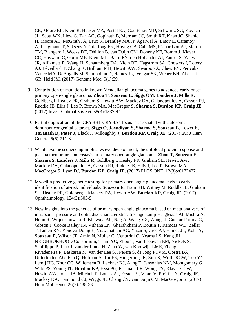CE, Moore EL, Klein R, Hauser MA, Postel EA, Courtenay MD, Schwartz SG, Kovach JL, Scott WK, Liew G, Tan AG, Gopinath B, Merriam JC, Smith RT, Khan JC, Shahid H, Moore AT, McGrath JA, Laux R, Brantley MA Jr, Agarwal A, Ersoy L, Caramoy A, Langmann T, Saksens NT, de Jong EK, Hoyng CB, Cain MS, Richardson AJ, Martin TM, Blangero J, Weeks DE, Dhillon B, van Duijn CM, Doheny KF, Romm J, Klaver CC, Hayward C, Gorin MB, Klein ML, Baird PN, den Hollander AI, Fauser S, Yates JR, Allikmets R, Wang JJ, Schaumberg DA, Klein BE, Hagstrom SA, Chowers I, Lotery AJ, Léveillard T, Zhang K, Brilliant MH, Hewitt AW, Swaroop A, Chew EY, Pericak-Vance MA, DeAngelis M, Stambolian D, Haines JL, Iyengar SK, Weber BH, Abecasis GR, Heid IM. (2017) Genome Med. 9(1):29.

- 9 Contribution of mutations in known Mendelian glaucoma genes to advanced early-onset primary open-angle glaucoma. **Zhou T, Souzeau E, Siggs OM, Landers J, Mills R,** Goldberg I, Healey PR, Graham S, Hewitt AW, Mackey DA, Galanopoulos A, Casson RJ, Ruddle JB, Ellis J, Leo P, Brown MA, MacGregor S, **Sharma S, Burdon KP**, **Craig JE**. (2017) Invest Ophthal Vis Sci. 58(3):1537-44.
- 10 Partial duplication of the CRYBB1-CRYBA4 locus is associated with autosomal dominant congenital cataract. **Siggs O, Javadiyan S, Sharma S, Souzeau E**, Lower K, **Taranath D, Pater J**, Black J, Willoughby J, **Burdon KP**, **Craig JE**. (2017) Eur J Hum Genet. 25(6):711-8.
- 11 Whole exome sequencing implicates eye development, the unfolded protein response and plasma membrane homeostasis in primary open-angle glaucoma. **Zhou T, Souzeau E, Sharma S, Landers J, Mills R,** Goldberg I, Healey PR, Graham SL, Hewitt AW, Mackey DA, Galanopoulos A, Casson RJ, Ruddle JB, Ellis J, Leo P, Brown MA, MacGregor S, Lynn DJ, **Burdon KP, Craig JE**. (2017) PLOS ONE. 12(3):e0172427.
- 12 Myocilin predictive genetic testing for primary open angle glaucoma leads to early identification of at-risk individuals. **Souzeau E**, Tram KH, Witney M, Ruddle JB, Graham SL, Healey PR, Goldberg I, Mackey DA, Hewitt AW, **Burdon KP, Craig JE**. (2017) Ophthalmology. 124(3):303-9.
- 13 New insights into the genetics of primary open-angle glaucoma based on meta-analyses of intraocular pressure and optic disc characteristics. Springelkamp H, Iglesias AI, Mishra A, Höhn R, Wojciechowski R, Khawaja AP, Nag A, Wang YX, Wang JJ, Cuellar-Partida G, Gibson J, Cooke Bailey JN, Vithana EN, Gharahkhani P, Boutin T, Ramdas WD, Zeller T, Luben RN, Yonova-Doing E, Viswanathan AC, Yazar S, Cree AJ, Haines JL, Koh JY, **Souzeau E**, Wilson JF, Amin N, Müller C, Venturini C, Kearns LS, Kang JH, NEIGHBORHOOD Consortium, Tham YC, Zhou T, van Leeuwen EM, Nickels S, Sanfilippo P, Liao J, van der Linde H, Zhao W, van Koolwijk LME, Zheng L, Rivadeneira F, Baskaran M, van der Lee SJ, Perera S, de Jong PTVM, Oostra BA, Uitterlinden AG, Fan Q, Hofman A, Tai ES, Vingerling JR, Sim X, Wolfs RCW, Teo YY, Lemij HG, Khor CC, Willemsen R, Lackner KJ, Aung T, Jansonius NM, Montgomery G, Wild PS, Young TL, **Burdon KP**, Hysi PG, Pasquale LR, Wong TY, Klaver CCW, Hewitt AW, Jonas JB, Mitchell P, Lotery AJ, Foster PJ, Vitart V, Pfeiffer N, **Craig JE**, Mackey DA, Hammond CJ, Wiggs JL, Cheng CY, van Duijn CM, MacGregor S. (2017) Hum Mol Genet. 26(2):438-53.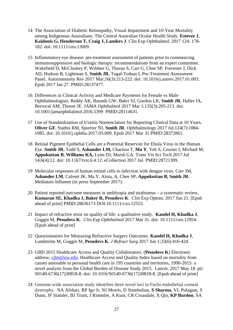- 14 The Association of Diabetic Retinopathy, Visual Impairment and 10-Year Mortality among Indigenous Australians: The Central Australian Ocular Health Study. **Estevez J**, **Kaidonis G, Henderson T, Craig J, Landers J**. Clin Exp Ophthalmol. 2017 124: 178- 182. doi: 10.1111/ceo.13009.
- 15 Inflammatory eye disease: pre-treatment assessment of patients prior to commencing immunosuppressive and biologic therapy: recommendations from an expert committee. Wakefield D, McCluskey P, Wildner G, Thurau S, Carr G, Chee SP, Forrester J, Dick AD, Hudson B, Lightman S, **Smith JR**, Tugal-Tutkun I, Pre-Treatment Assessment Panel. Autoimmunity Rev 2017 Mar;16(3):213-222. doi: 10.1016/j.autrev.2017.01.003. Epub 2017 Jan 27. PMID:28137477.
- 16 Differences in Clinical Activity and Medicare Payments for Female vs Male Ophthalmologists. Reddy AK, Bounds GW, Bakri SJ, Gordon LK, **Smith JR**, Haller JA, Berrocal AM, Thorne JE. JAMA Ophthalmol 2017 Mar 1;135(3):205-213. doi: 10.1001/jamaophthalmol.2016.5399 PMID:28114631.
- 17 Use of Standardization of Uveitis Nomenclature for Reporting Clinical Data at 10 Years. **Oliver GF**, Stathis RM, Spurrier NJ, **Smith JR**. Ophthalmology 2017 Jul;124(7):1084- 1085. doi: 10.1016/j.ophtha.2017.03.009. Epub 2017 Mar 31 PMID:28372861.
- 18 Retinal Pigment Epithelial Cells are a Potential Reservoir for Ebola Virus in the Human Eye. **Smith JR**, Todd S, **Ashander LM,** Charitou T, **Ma Y**, Yeh S, Crozier I, Michael M, **Appukuttan B**, **Williams KA,** Lynn DJ, Marsh GA. Trans Vis Sci Tech 2017 Jul 14;6(4):12. doi: 10.1167/tvst.6.4.12. eCollection 2017 Jul. PMID:28721309.
- 19 Molecular responses of human retinal cells to infection with dengue virus. Carr JM, **Ashander LM**, Calvert JK, Ma Y, Aloia, A, Chee SP, **Appukuttan B, Smith JR**. Mediators Inflamm (in press September 2017).
- 20 Patient reported outcome measures in amblyopia and strabismus a systematic review, **Kumaran SE, Khadka J, Baker R, Pesudovs K**. [Clin Exp Optom.](https://www.ncbi.nlm.nih.gov/pubmed/28636173) 2017 Jun 21. [Epub ahead of print] PMID:28636173 DOI[:10.1111/cxo.12553.](https://doi.org/10.1111/cxo.12553)
- 21 Impact of refractive error on quality of life: a qualitative study. **Kandel H, Khadka J**, Goggin M, **Pesudovs K**. *Clin Exp Ophthalmol* 2017 Mar 31. doi: 10.1111/ceo.12954. [Epub ahead of print]
- 22 Questionnaires for Measuring Refractive Surgery Outcomes. **Kandel H, Khadka J**, Lundström M, Goggin M, **Pesudovs K**. *J Refract Surg* 2017 Jun 1;33(6):416-424.
- 23 GBD 2015 Healthcare Access and Quality Collaborators. (**Pesudovs K**) Electronic address: [cjlm@uw.edu.](mailto:cjlm@uw.edu) Healthcare Access and Quality Index based on mortality from causes amenable to personal health care in 195 countries and territories, 1990-2015: a novel analysis from the Global Burden of Disease Study 2015. Lancet. 2017 May 18. pii: S0140-6736(17)30818-8. doi: 10.1016/S0140-6736(17)30818-8. [Epub ahead of print]
- 24 Genome-wide association study identifies three novel loci in Fuchs endothelial corneal dystrophy. NA Afshari, RP Igo Jr, NJ Morris, D Stambolian, **S Sharma**, VL Pulagam, S Dunn, JF Stamler, BJ Truitt, J Rimmler, A Kuot, CR Croasdale, X Qin, **KP Burdon**, SA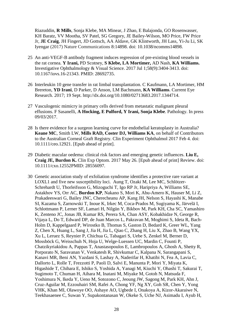Riazuddin, **R Mills**, Sonja Klebe, MA Minear, J Zhao, E Balajonda, GO Rosenwasser, KH Baratz, VV Mootha, SV Patel, SG Gregory, JE Bailey-Wilson, MO Price, FW Price Jr, **JE Craig**, JH Fingert, JD Gottsch, AA Aldave, GK Klintworth, JH Lass, Yi-Ju Li, SK Iyengar (2017) Nature Communications 8:14898. doi: 10.1038/ncomms14898.

- 25 An anti-VEGF-B antibody fragment induces regression of pre-existing blood vessels in the rat cornea. **Y Irani,** PD Scotney, **S Klebe, LA Mortimer,** AD Nash, **KA Williams.** Investigative Ophthalmology & Visual Science. 2017 Jul 1;58(9):3404-3413. doi: 10.1167/iovs.16-21343. PMID: 28692735.
- 26 Interleukin 10 gene transfer in rat limbal transplantation. C Kaufmann, LA Mortimer, HM Brereton, **YD Irani**, D Parker, D Anson, LM Bachmann, **KA Williams**. Current Eye Research. 2017; 19 Sept. http://dx.doi.org/10.1080/02713683.2017.1344714.
- 27 Vasculogenic mimicry in primary cells derived from metastatic malignant pleural effusions. F Sasanelli, **A Hocking, E Pulford, Y Irani, Sonja Klebe**. Pathology. In press 09/03/2017.
- 28 Is there evidence for a surgeon learning curve for endothelial keratoplasty in Australia? **Keane MC**, Smith LW, **Mills RAD, Coster DJ, Williams KA**, on behalf of Contributors to the Australian Corneal Graft Registry. Clin Experiment Ophthalmol 2017 Feb 4. doi: 10.1111/ceo.12921. [Epub ahead of print].
- 29 [Diabetic macular oedema: clinical risk factors and emerging genetic influences.](http://www.ncbi.nlm.nih.gov/pubmed/28556097) **Liu E, Craig JE, Burdon K.** Clin Exp Optom. 2017 May 26. [Epub ahead of print] Review. doi: 10.1111/cxo.12552PMID: 28556097.
- 30 [Genetic association study of exfoliation syndrome identifies a protective rare variant at](http://www.ncbi.nlm.nih.gov/pubmed/28553957)  [LOXL1 and five new susceptibility loci.](http://www.ncbi.nlm.nih.gov/pubmed/28553957) Aung T, Ozaki M, Lee MC, Schlötzer-Schrehardt U, Thorleifsson G, Mizoguchi T, Igo RP Jr, Haripriya A, Williams SE, Astakhov YS, Orr AC, **Burdon KP**, Nakano S, Mori K, Abu-Amero K, Hauser M, Li Z, Prakadeeswari G, Bailey JNC, Cherecheanu AP, Kang JH, Nelson S, Hayashi K, Manabe SI, Kazama S, Zarnowski T, Inoue K, Irkec M, Coca-Prados M, Sugiyama K, Järvelä I, Schlottmann P, Lerner SF, Lamari H, Nilgün Y, Bikbov M, Park KH, Cha SC, Yamashiro K, Zenteno JC, Jonas JB, Kumar RS, Perera SA, Chan ASY, Kobakhidze N, George R, Vijaya L, Do T, Edward DP, de Juan Marcos L, Pakravan M, Moghimi S, Ideta R, Bach-Holm D, Kappelgaard P, Wirostko B, Thomas S, Gaston D, Bedard K, Greer WL, Yang Z, Chen X, Huang L, Sang J, Jia H, Jia L, Qiao C, Zhang H, Liu X, Zhao B, Wang YX, Xu L, Leruez S, Reynier P, Chichua G, Tabagari S, Uebe S, Zenkel M, Berner D, Mossböck G, Weisschuh N, Hoja U, Welge-Luessen UC, Mardin C, Founti P, Chatzikyriakidou A, Pappas T, Anastasopoulos E, Lambropoulos A, Ghosh A, Shetty R, Porporato N, Saravanan V, Venkatesh R, Shivkumar C, Kalpana N, Sarangapani S, Kanavi MR, Beni AN, Yazdani S, Lashay A, Naderifar H, Khatibi N, Fea A, Lavia C, Dallorto L, Rolle T, Frezzotti P, Paoli D, Salvi E, Manunta P, Mori Y, Miyata K, Higashide T, Chihara E, Ishiko S, Yoshida A, Yanagi M, Kiuchi Y, Ohashi T, Sakurai T, Sugimoto T, Chuman H, Aihara M, Inatani M, Miyake M, Gotoh N, Matsuda F, Yoshimura N, Ikeda Y, Ueno M, Sotozono C, Jeoung JW, Sagong M, Park KH, Ahn J, Cruz-Aguilar M, Ezzouhairi SM, Rafei A, Chong YF, Ng XY, Goh SR, Chen Y, Yong VHK, Khan MI, Olawoye OO, Ashaye AO, Ugbede I, Onakoya A, Kizor-Akaraiwe N, Teekhasaenee C, Suwan Y, Supakontanasan W, Okeke S, Uche NJ, Asimadu I, Ayub H,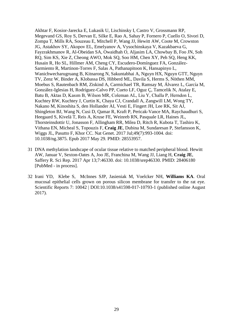Akhtar F, Kosior-Jarecka E, Lukasik U, Lischinsky I, Castro V, Grossmann RP, Megevand GS, Roy S, Dervan E, Silke E, Rao A, Sahay P, Fornero P, Cuello O, Sivori D, Zompa T, Mills RA, Souzeau E, Mitchell P, Wang JJ, Hewitt AW, Coote M, Crowston JG, Astakhov SY, Akopov EL, Emelyanov A, Vysochinskaya V, Kazakbaeva G, Fayzrakhmanov R, Al-Obeidan SA, Owaidhah O, Aljasim LA, Chowbay B, Foo JN, Soh RQ, Sim KS, Xie Z, Cheong AWO, Mok SQ, Soo HM, Chen XY, Peh SQ, Heng KK, Husain R, Ho SL, Hillmer AM, Cheng CY, Escudero-Domínguez FA, González-Sarmiento R, Martinon-Torres F, Salas A, Pathanapitoon K, Hansapinyo L, Wanichwecharugruang B, Kitnarong N, Sakuntabhai A, Nguyn HX, Nguyn GTT, Nguyn TV, Zenz W, Binder A, Klobassa DS, Hibberd ML, Davila S, Herms S, Nöthen MM, Moebus S, Rautenbach RM, Ziskind A, Carmichael TR, Ramsay M, Álvarez L, García M, González-Iglesias H, Rodríguez-Calvo PP, Cueto LF, Oguz Ç, Tamcelik N, Atalay E, Batu B, Aktas D, Kasım B, Wilson MR, Coleman AL, Liu Y, Challa P, Herndon L, Kuchtey RW, Kuchtey J, Curtin K, Chaya CJ, Crandall A, Zangwill LM, Wong TY, Nakano M, Kinoshita S, den Hollander AI, Vesti E, Fingert JH, Lee RK, Sit AJ, Shingleton BJ, Wang N, Cusi D, Qamar R, Kraft P, Pericak-Vance MA, Raychaudhuri S, Heegaard S, Kivelä T, Reis A, Kruse FE, Weinreb RN, Pasquale LR, Haines JL, Thorsteinsdottir U, Jonasson F, Allingham RR, Milea D, Ritch R, Kubota T, Tashiro K, Vithana EN, Micheal S, Topouzis F, **Craig JE**, Dubina M, Sundaresan P, Stefansson K, Wiggs JL, Pasutto F, Khor CC. Nat Genet. 2017 Jul;49(7):993-1004. doi: 10.1038/ng.3875. Epub 2017 May 29. PMID: 28553957.

- 31 DNA methylation landscape of ocular tissue relative to matched peripheral blood. Hewitt AW, Januar V, Sexton-Oates A, Joo JE, Franchina M, Wang JJ, Liang H, **Craig JE**, Saffery R. Sci Rep. 2017 Apr 13;7:46330. doi: 10.1038/srep46330. PMID: 28406180 [PubMed - in process].
- 32 Irani YD, Klebe S, McInnes SJP, Jasieniak M, Voelcker NH, **Williams KA**. Oral mucosal epithelial cells grown on porous silicon membrane for transfer to the rat eye. Scientific Reports 7: 10042 | DOI:10.1038/s41598-017-10793-1 (published online August 2017).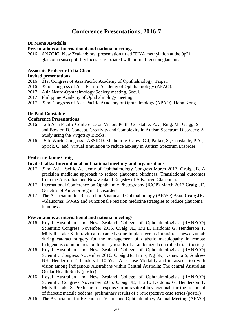## **Conference Presentations, 2016-7**

#### **Dr Mona Awadalla**

#### **Presentations at international and national meetings**

2016 ANZGIG, New Zealand; oral presentation titled "DNA methylation at the 9p21 glaucoma susceptibility locus is associated with normal-tension glaucoma".

#### **Associate Professor Celia Chen**

#### **Invited presentations**

- 2016 31st Congress of Asia Pacific Academy of Ophthalmology, Taipei.
- 2016 32nd Congress of Asia Pacific Academy of Ophthalmology (APAO).
- 2017 Asia Neuro-Ophthalmology Society meeting, Seoul.
- 2017 Philippine Academy of Ophthalmology meeting.
- 2017 33nd Congress of Asia-Pacific Academy of Ophthalmology (APAO), Hong Kong

#### **Dr Paul Constable**

#### **Conference Presentations**

- 2016 12th Asia Pacific Conference on Vision. Perth. Constable, P.A., Ring, M., Gaigg, S. and Bowler, D. Concept, Creativity and Complexity in Autism Spectrum Disorders: A Study using the Vygotsky Blocks.
- 2016 15th World Congress. IASSIDD. Melbourne. Carey, G.J, Parker, S., Constable, P.A., Sprick, C. and. Virtual simulation to reduce anxiety in Autism Spectrum Disorder.

#### **Professor Jamie Craig**

#### **Invited talks: International and national meetings and organisations**

- 2017 32nd Asia-Pacific Academy of Ophthalmology Congress March 2017, **Craig JE**. A precision medicine approach to reduce glaucoma blindness; Translational outcomes from the Australian and New Zealand Registry of Advanced Glaucoma.
- 2017 International Conference on Ophthalmic Photography (ICOP) March 2017.**Craig JE**. Genetics of Anterior Segment Disorders.
- 2017 The Association for Research in Vision and Ophthalmology (ARVO) Asia. **Craig JE.**  -Glaucoma: GWAS and Functional Precision medicine strategies to reduce glaucoma blindness.

#### **Presentations at international and national meetings**

- 2016 Royal Australian and New Zealand College of Ophthalmologists (RANZCO) Scientific Congress November 2016. **Craig JE**, Liu E, Kaidonis G, Henderson T, Mills R, Lake S. Intravitreal dexamethasone implant versus intravitreal bevacizumab during cataract surgery for the management of diabetic maculopathy in remote Indigenous communities: preliminary results of a randomized controlled trial. (poster)
- 2016 Royal Australian and New Zealand College of Ophthalmologists (RANZCO) Scientific Congress November 2016. **Craig JE**, Liu E, Ng SK, Kahawita S, Andrew NH, Henderson T, Landers J. 10 Year All-Cause Mortality and its association with vision among Indigenous Australians within Central Australia; The central Australian Ocular Health Study (poster)
- 2016 Royal Australian and New Zealand College of Ophthalmologists (RANZCO) Scientific Congress November 2016. **Craig JE**, Liu E, Kaidonis G, Henderson T, Mills R, Lake S. Predictors of response to intravitreal bevacizumab for the treatment of diabetic macula oedema; preliminary results of a retrospective case series (poster)
- 2016 The Association for Research in Vision and Ophthalmology Annual Meeting (ARVO)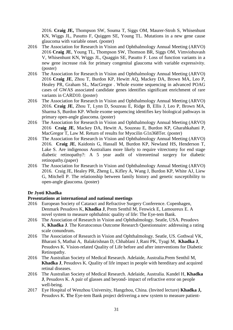2016. **Craig JE,** Thompson SW, Souma T, Siggs OM, Maurer-Stroh S, Whisenhunt KN, Wiggs JL, Pasutto F, Quiggen SE, Young TL. Mutations in a new gene cause glaucoma with variable onset. (poster)

- 2016 The Association for Research in Vision and Ophthalmology Annual Meeting (ARVO) 2016 **Craig JE**, Young TL, Thompson SW, Thomson BR, Siggs OM, Vimviohuvash V, Whisenhunt KN, Wiggs JL, Quaggin SE, Pasutto F. Loss of function variants in a new gene increase risk for primary congenital glaucoma with variable expressivity. (poster)
- 2016 The Association for Research in Vision and Ophthalmology Annual Meeting (ARVO) 2016 **Craig JE**, Zhou T, Burdon KP, Hewitt AQ, Mackey DA, Brown MA, Leo P, Healey PR, Graham SL, MacGregor . Whole exome sequencing in advanced POAG cases of GWAS associated candidate genes identifies significant enrichment of rare variants in CARD10. (poster)
- 2016 The Association for Research in Vision and Ophthalmology Annual Meeting (ARVO) 2016. **Craig JE**, Zhou T, Lynn D, Souzeau E, Ridge B, Ellis J, Leo P, Brown MA, Sharma S, Burdon KP. Whole exome sequencing identifies key biological pathways in primary open-angle glaucoma. (poster)
- 2016 The Association for Research in Vision and Ophthalmology Annual Meeting (ARVO) 2016 **Craig JE**, Mackey DA, Hewitt A, Souzeau E, Burdon KP, Gharahkahani P, MacGregor T, Law M. Return of results for Myocilin G1n368Ter. (poster)
- 2016 The Association for Research in Vision and Ophthalmology Annual Meeting (ARVO) 2016. **Craig JE**, Kaidonis G, Hassall M, Burdon KP, Newland HS, Henderson T, Lake S. Are indigenous Australians more likely to require vitrectomy for end stage diabetic retinopathy?: A 5 year audit of vitreoretinal surgery for diabetic retinopathy.(paper)
- 2016 The Association for Research in Vision and Ophthalmology Annual Meeting (ARVO) 2016. Craig JE, Healey PR, Zheng L, Kifley A, Wang J, Burdon KP, White AJ, Liew G, Mitchell P. The relationship between family history and genetic susceptibility to open-angle glaucoma. (poster)

#### **Dr Jyoti Khadka**

#### **Presentations at international and national meetings**

- 2016 European Society of Cataract and Refractive Surgery Conference. Copenhagen, Denmark Pesudovs K, **Khadka J**, Prem Senthil M, Fenwick E, Lamoureux E. A novel system to measure ophthalmic quality of life: The Eye-tem Bank.
- 2016 The Association of Research in Vision and Ophthalmology. Seatle, USA. Pesudovs K, **Khadka J**. The Keratoconus Outcome Research Questionnaire: addressing a rating scale conundrum**.**
- 2016 The Association of Research in Vision and Ophthalmology. Seatle, US. Gothwal VK, Bharani S, Mathai A, Balakrishnan D, Chhablani J,Rani PK, Tyagi M, **Khadka J**, Pesudovs K. Vision-related Quality of Life before and after interventions for Diabetic Retinopathy.
- 2016 The Australian Society of Medical Research. Adelaide, Australia.Prem Senthil M, **Khadka J**, Pesudovs K. Quality of life impact in people with hereditary and acquired retinal diseases.
- 2016 The Australian Society of Medical Research. Adelaide, Australia. Kandel H, **Khadka J**, Pesudovs K. A pair of glasses and beyond- impact of refractive error on people well-being.
- 2017 Eye Hospital of Wenzhou University, Hangzhou, China. (Invited lecture) **Khadka J,**  Pesudovs K. **T**he Eye-tem Bank project delivering a new system to measure patient-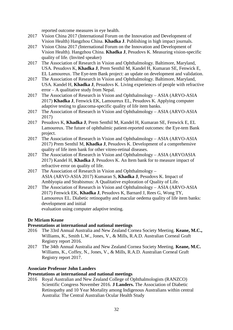reported outcome measures in eye health.

- 2017 Vision China 2017 (International Forum on the Innovation and Development of Vision Health) Hangzhou China. **Khadka J**. Publishing in high impact journals.
- 2017 Vision China 2017 *(*International Forum on the Innovation and Development of Vision Health). Hangzhou China. **Khadka J**, Pesudovs K. Measuring vision-specific quality of life. (Invited speaker)
- 2017 The Association of Research in Vision and Ophthalmology. Baltimore, Maryland, USA. Pesudovs K, **Khadka J**, Prem Senthil M, Kandel H, Kumaran SE, Fenwick E, EL Lamoureux. The Eye-tem Bank project: an update on development and validation.
- 2017 The Association of Research in Vision and Ophthalmology. Baltimore, Maryland, USA. Kandel H, **Khadka J**, Pesudovs K. Living experiences of people with refractive error – A qualitative study from Nepal.
- 2017 The Association of Research in Vision and Ophthalmology ASIA (ARVO-ASIA 2017) **Khadka J**, Fenwick EK, Lamoureux EL, Pesudovs K. Applying computer adaptive testing to glaucoma-specific quality of life item banks.
- 2017 The Association of Research in Vision and Ophthalmology ASIA (ARVO-ASIA 2017)
- 2017 Pesudovs K, **Khadka J**, Prem Senthil M, Kandel H, Kumaran SE, Fenwick E, EL Lamoureux. The future of ophthalmic patient-reported outcomes: the Eye-tem Bank project.
- 2017 The Association of Research in Vision and Ophthalmology ASIA (ARVO-ASIA 2017) Prem Senthil M, **Khadka J**, Pesudovs K. Development of a comprehensive quality of life item bank for other vitreo-retinal diseases.
- 2017 The Association of Research in Vision and Ophthalmology ASIA (ARVOASIA 2017) Kandel H, **Khadka J**, Pesudovs K. An Item bank for to measure impact of refractive error on quality of life.
- 2017 The Association of Research in Vision and Ophthalmology ASIA (ARVO-ASIA 2017) Kumaran S, **Khadka J**, Pesudovs K. Impact of Amblyopia and Strabismus: A Qualitative exploration of Quality of Life.
- 2017 The Association of Research in Vision and Ophthalmology ASIA (ARVO-ASIA 2017) Fenwick EK, **Khadka J**, Pesudovs K, Barnard J, Rees G, Wong TY, Lamoureux EL. Diabetic retinopathy and macular oedema quality of life item banks: development and initial evaluation using computer adaptive testing.

#### **Dr Miriam Keane**

# **Presentations at international and national meetings**<br>2016 The 33rd Annual Australia and New Zealand Co

- The 33rd Annual Australia and New Zealand Cornea Society Meeting. **Keane, M.C.,** Williams, K., Smith L.W., Jones, V., & Mills, R.A.D. Australian Corneal Graft Registry report 2016.
- 2017 The 34th Annual Australia and New Zealand Cornea Society Meeting. **Keane, M.C.**  Williams, K., Coffey, N., Jones, V., & Mills, R.A.D. Australian Corneal Graft Registry report 2017.

#### **Associate Professor John Landers**

#### **Presentations at international and national meetings**

2016 Royal Australian and New Zealand College of Ophthalmologists (RANZCO) Scientific Congress November 2016. **J Landers.** The Association of Diabetic Retinopathy and 10 Year Mortality among Indigenous Australians within central Australia: The Central Australian Ocular Health Study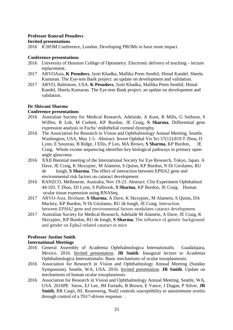#### **Professor Konrad Pesudovs**

#### **Invited presentations**

2016 ICHOM Conference, London. Developing PROMs to have more impact.

#### **Conference presentations**

- 2016 University of Houston College of Optometry. Electronic delivery of teaching lecture replacement.
- 2017 ARVOAsia, **K Pesudovs**, Jyoti Khadka, Mallika Prem Senthil, Himal Kandel, Sheela Kumaran. The Eye-tem Bank project: an update on development and validation.
- 2017 ARVO, Baltimore, USA. **K Pesudovs**, Jyoti Khadka, Mallika Prem Senthil, Himal Kandel, Sheela Kumaran. The Eye-tem Bank project: an update on development and validation.

#### **Dr Shiwani Sharma**

#### **Conference presentations**

- 2016 Australian Society for Medical Research, Adelaide, A Kuot, R Mills, G Snibson, S Wiffen, R Loh, M Corbett, KP Burdon, JE Craig, **S Sharma.** Differential gene expression analysis in Fuchs' endothelial corneal dystrophy.
- 2016 The Association for Research in Vision and Ophthalmology Annual Meeting, Seattle, Washington, USA, May 1-5. Abstract: Invest Ophthal Vis Sci 57(12):819.T Zhou, D Lynn, E Souzeau, B Ridge, J Ellis, P Leo, MA Brown, **S Sharma**, KP Burdon, JE Craig. Whole exome sequencing identifies key biological pathways in primary openangle glaucoma.
- 2016 XXII Biennial meeting of the International Society for Eye Research, Tokyo, Japan. A Dave, JE Craig, K Skrzypiec, M Alamein, S Quinn, KP Burdon, N Di Girolamo, RU de Iongh, **S Sharma.** The effect of interaction between EPHA2 gene and environmental risk factors on cataract development.
- 2016 RANZCO, Melbourne, Australia, Nov 19-23. Abstract: Clin Experiment Ophthalmol 44:103. T Zhou, DJ Lynn, S Pulbrook, **S Sharma**, KP Burdon, JE Craig. Human ocular tissue expression using RNASeq.
- 2017 ARVO-Asia, Brisbane. **S Sharma**, A Dave, K Skrzypiec, M Alamein, S Quinn, DA Mackey, KP Burdon, N Di Girolamo, RU de Iongh, JE Craig. Interaction between *EPHA2* gene and environmental factors modulates cataract development.
- 2017 Australian Society for Medical Research, Adelaide M Alamein, A Dave, JE Craig, K Skrzypiec, KP Burdon, RU de Iongh, **S Sharma.** The influence of genetic background and gender on Epha2-related cataract in mice

#### **Professor Justine Smith**

#### **International Meetings**

- 2016 General Assembly of Academia Ophthalmologica Internationalis. Guadalajara, Mexico. 2016. Invited presentation. **JR Smith**. Inaugural lecture to Academia Ophthalmologica Internationalis: Basic mechanisms of ocular toxoplasmosis.
- 2016 Association for Research in Vision and Ophthalmology Annual Meeting (Sunday Symposium). Seattle, WA, USA. 2016. Invited presentation. **JR Smith**. Update on mechanisms of human ocular toxoplasmosis.
- 2016 Association for Research in Vision and Ophthalmology Annual Meeting. Seattle, WA, USA. 2016PE Snow, EJ Lee, JM Furtado, B Brown, E Vance, J Dugan, P Silver, **JR Smith**, RR Caspi, HL Rosenweig. Nod2 controls susceptibility to autoimmune uveitis through control of a Th17-driven response. .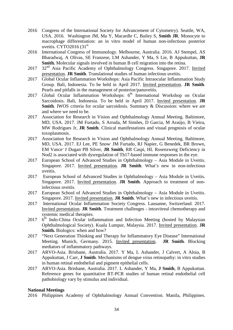- 2016 Congress of the International Society for Advancement of Cytometry). Seattle, WA, USA. 2016. Washington JM, Ma Y, Macardle C, Bailey S, **Smith JR**. Monocyte to macrophage differentiation: an in vitro model of human non-infectious posterior uveitis. CYTO2016  $(31<sup>st</sup>$
- 2016 International Congress of Immunology. Melbourne, Australia. 2016. AJ Stempel, AS Bharadwaj, A Olivas, SE Franzese, LM Ashander, Y Ma, S Lie, B Appukuttan, **JR Smith.** Molecular signals involved in human B cell migration into the retina.
- 2017 32<sup>nd</sup> Asia Pacific Academy of Ophthalmology Congress. Singapore. 2017. Invited presentation. **JR Smith**. Translational studies of human infectious uveitis.
- 2017 Global Ocular Inflammation Workshops: Asia Pacific Intraocular Inflammation Study Group. Bali, Indonesia. To be held in April 2017. Invited presentation. **JR Smith**. Pearls and pitfalls in the management of posterior/panuveitis.
- 2017 Global Ocular Inflammation Workshops:  $6<sup>th</sup>$  International Workshop on Ocular Sarcoidosis. Bali, Indonesia. To be held in April 2017. Invited presentation. **JR**  Smith. IWOS criteria for ocular sarcoidosis. Summary & Discussion: where we are and where we need to be.
- 2017 Association for Research in Vision and Ophthalmology Annual Meeting. Baltimore, MD, USA. 2017. JM Furtado, S Arruda, M Simões, D Garcia, M Araújo, B Vieira, MW Rodrigues Jr, **JR Smith**. Clinical manifestations and visual prognosis of ocular toxoplasmosis.
- 2017 Association for Research in Vision and Ophthalmology Annual Meeting. Baltimore, MD, USA. 2017. EJ Lee, PE Snow, JM Furtado, RJ Napier, G Benedek, BR Brown, EM Vance" J Dugan' PB Silver, **JR Smith**, RR Caspi, HL Rosenzweig Deficiency in Nod2 is associated with dysregulation of Th17-based immune responses in the eye.
- 2017 European School of Advanced Studies in Ophthalmology Asia Module in Uveitis. Singapore. 2017. Invited presentation. **JR Smith**. What's new in non-infectious uveitis.
- 2017 European School of Advanced Studies in Ophthalmology Asia Module in Uveitis. Singapore. 2017. Invited presentation. **JR Smith**. Approach to treatment of noninfectious uveitis.
- 2017 European School of Advanced Studies in Ophthalmology Asia Module in Uveitis. Singapore. 2017. Invited presentation. **JR Smith**. What's new in infectious uveitis.
- 2017 International Ocular Inflammation Society Congress. Lausanne, Switzerland. 2017. Invited presentation. **JR Smith**. Treatment challenges - intravitreal chemotherapy and systemic medical therapies.
- 2017  $6<sup>th</sup>$  Indo-China Ocular inflammation and Infection Meeting (hosted by Malaysian Ophthalmological Society). Kuala Lumpur, Malaysia. 2017. Invited presentation. **JR Smith.** Biologics: when and how?
- 2017 "Next Generation Thinking and Therapy for Inflammatory Eye Disease" International Meeting. Munich, Germany. 2015. Invited presentation. **JR Smith**. Blocking mediators of inflammatory pathways.
- 2017 ARVO-Asia. Brisbane, Australia. 2017. Y Ma, L Ashander, J Calvert, A Aloia, B Appukuttan, J Carr, **J Smith**. Mechanisms of dengue virus retinopathy: in vitro studies in human retinal endothelial and pigment epithelial cells.
- 2017 ARVO-Asia. Brisbane, Australia. 2017. L Ashander, Y Ma, **J Smith**, B Appukuttan. Reference genes for quantitative RT-PCR studies of human retinal endothelial cell pathobiology vary by stimulus and individual.

#### **National Meetings**

2016 Philippines Academy of Ophthalmology Annual Convention. Manila, Philippines.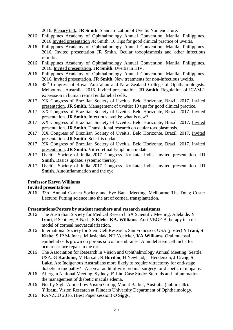2016. Plenary talk. **JR Smith**. Standardization of Uveitis Nomenclature.

- 2016 Philippines Academy of Ophthalmology Annual Convention. Manila, Philippines. 2016 Invited presentation JR Smith. 10 Tips for good clinical practice of uveitis.
- 2016 Philippines Academy of Ophthalmology Annual Convention. Manila, Philippines. 2016. Invited presentation JR Smith. Ocular toxoplasmosis and other infectious retinitis..
- 2016 Philippines Academy of Ophthalmology Annual Convention. Manila, Philippines. 2016. Invited presentation. **JR Smith**. Uveitis in HIV.
- 2016 Philippines Academy of Ophthalmology Annual Convention. Manila, Philippines. 2016. Invited presentation. **JR Smith**. New treatments for non-infectious uveitis.
- $2016$  48<sup>th</sup> Congress of Royal Australian and New Zealand College of Ophthalmologists. Melbourne, Australia. 2016. Invited presentation. **JR Smith**. Regulation of ICAM-1 expression in human retinal endothelial cells.
- 2017 XX Congress of Brazilian Society of Uveitis. Belo Horizonte, Brazil. 2017. Invited presentation. **JR Smith**. Management of uveitis: 10 tips for good clinical practice.
- 2017 XX Congress of Brazilian Society of Uveitis. Belo Horizonte, Brazil. 2017. Invited presentation. **JR Smith**. Infectious uveitis: what is new?
- 2017 XX Congress of Brazilian Society of Uveitis. Belo Horizonte, Brazil. 2017. Invited presentation. **JR Smith**. Translational research on ocular toxoplasmosis.
- 2017 XX Congress of Brazilian Society of Uveitis. Belo Horizonte, Brazil. 2017. Invited presentation. **JR Smith**. Scleritis update.
- 2017 XX Congress of Brazilian Society of Uveitis. Belo Horizonte, Brazil. 2017. Invited presentation. **JR Smith**. Vitreoretinal lymphoma update.
- 2017 Uveitis Society of India 2017 Congress. Kolkata, India. Invited presentation. **JR Smith**. Basics update: systemic therapy.
- 2017 Uveitis Society of India 2017 Congress. Kolkata, India. Invited presentation. **JR Smith**. Autoinflammation and the eye.

#### **Professor Keryn Williams**

#### **Invited presentations**

2016 33rd Annual Cornea Society and Eye Bank Meeting, Melbourne The Doug Coster Lecture: Putting science into the art of corneal transplantation.

#### **Presentations/Posters by student members and research assistants**

- 2016 The Australian Society for Medical Research SA Scientific Meeting, Adelaide. **Y Irani**, P Scotney, A Nash, **S Klebe**, **KA. Williams**. Anti-VEGF-B therapy in a rat model of corneal neovascularization.
- 2016 International Society for Stem Cell Research, San Francisco, USA (poster) **Y Irani, S Klebe**, S JP McInnes, M Jasieniak, NH Voelcker, **KA Williams**. Oral mucosal epithelial cells grown on porous silicon membranes: A model stem cell niche for ocular surface repair in the rat.
- 2016 The Association for Research in Vision and Ophthalmology Annual Meeting. Seattle, USA. **G Kaidonis,** M Hassall, **K Burdon**, H Newland, T Henderson, **J Craig**, **S Lake**. Are Indigenous Australians more likely to require vitrectomy for end-stage diabetic retinopathy? : A 5 year audit of vitreoretinal surgery for diabetic retinopathy.
- 2016 Allergan National Meeting, Sydney. **E Liu**. Case Study: Steroids and Inflammation the management of diabetic macula edema.
- 2016 Not by Sight Alone Low Vision Group, Mount Barker, Australia (public talk). **Y Irani.** Vision Research at Flinders University Department of Ophthalmology.
- 2016 RANZCO 2016, (Best Paper session) **O Siggs**.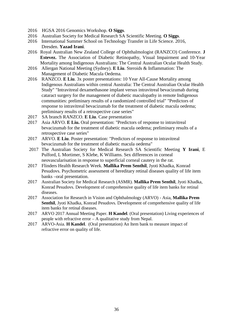- 2016 HGSA 2016 Genomics Workshop. **O Siggs**.
- 2016 Australian Society for Medical Research SA Scientific Meeting. **O Siggs**.
- 2016 International Summer School on Technology Transfer in Life Science. 2016, Dresden. **Yazad Irani**.
- 2016 Royal Australian New Zealand College of Ophthalmologist (RANZCO) Conference. **J Estevez.** The Association of Diabetic Retinopathy, Visual Impairment and 10-Year Mortality among Indigenous Australians: The Central Australian Ocular Health Study.
- 2016 Allergan National Meeting (Sydney). **E Liu**. Steroids & Inflammation: The Management of Diabetic Macula Oedema.
- 2016 RANZCO. **E Liu**. 3x poster presentations: 10 Year All-Cause Mortality among Indigenous Australians within central Australia: The Central Australian Ocular Health Study" "Intravitreal dexamethasone implant versus intravitreal bevacizumab during cataract surgery for the management of diabetic maculopathy in remote Indigenous communities: preliminary results of a randomized controlled trial" "Predictors of response to intravitreal bevacizumab for the treatment of diabetic macula oedema; preliminary results of a retrospective case series"
- 2017 SA branch RANZCO. **E Liu**. Case presentation
- 2017 Asia ARVO. **E Liu.** Oral presentation: "Predictors of response to intravitreal bevacizumab for the treatment of diabetic macula oedema; preliminary results of a retrospective case series"
- 2017 ARVO. **E Liu**. Poster presentation: "Predictors of response to intravitreal bevacizumab for the treatment of diabetic macula oedema"
- 2017 The Australian Society for Medical Research SA Scientific Meeting **Y Irani**, E Pulford, L Mortimer, S Klebe, K Williams. Sex differences in corneal neovascularisation in response to superficial corneal cautery in the rat.
- 2017 Flinders Health Research Week. **Mallika Prem Senthil**, Jyoti Khadka, Konrad Pesudovs. Psychometric assessment of hereditary retinal diseases quality of life item banks –oral presentation.
- 2017 Australian Society for Medical Research (ASMR). **Mallika Prem Senthil**, Jyoti Khadka, Konrad Pesudovs. Development of comprehensive quality of life item banks for retinal diseases.
- 2017 Association for Research in Vision and Ophthalmology (ARVO) Asia, **Mallika Prem Senthil**, Jyoti Khadka, Konrad Pesudovs. Development of comprehensive quality of life item banks for retinal diseases.
- 2017 ARVO 2017 Annual Meeting Paper. **H Kandel**. (Oral presentation) Living experiences of people with refractive error – A qualitative study from Nepal.
- 2017 ARVO-Asia. **H Kandel**. (Oral presentation) An Item bank to measure impact of refractive error on quality of life.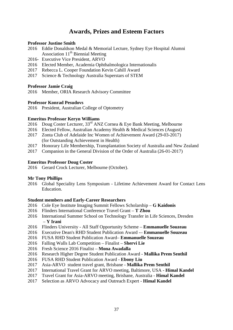## **Awards, Prizes and Esteem Factors**

#### **Professor Justine Smith**

- Eddie Donaldson Medal & Memorial Lecture, Sydney Eye Hospital Alumni Association  $11<sup>th</sup>$  Biennial Meeting
- 2016- Executive Vice President, ARVO
- Elected Member, Academia Ophthalmologica Internationalis
- Rebecca L. Cooper Foundation Kevin Cahill Award
- Science & Technology Australia Superstars of STEM

#### **Professor Jamie Craig**

Member, ORIA Research Advisory Committee

#### **Professor Konrad Pesudovs**

President, Australian College of Optometry

#### **Emeritus Professor Keryn Williams**

- 2016 Doug Coster Lecturer, 33<sup>rd</sup> ANZ Cornea & Eye Bank Meeting, Melbourne
- Elected Fellow, Australian Academy Health & Medical Sciences (August)
- Zonta Club of Adelaide Inc Women of Achievement Award (29-03-2017) (for Outstanding Achievement in Health)
- Honorary Life Membership, Transplantation Society of Australia and New Zealand
- Companion in the General Division of the Order of Australia (26-01-2017)

#### **Emeritus Professor Doug Coster**

Gerard Crock Lecturer, Melbourne (October).

#### **Mr Tony Phillips**

 Global Speciality Lens Symposium - Lifetime Achievement Award for Contact Lens Education.

#### **Student members and Early-Career Researchers**

- Cole Eye Institute Imaging Summit Fellows Scholarship **G Kaidonis**
- Flinders International Conference Travel Grant **T Zhou**
- International Summer School on Technology Transfer in Life Sciences, Dresden – **Y Irani**
- Flinders University All Staff Opportunity Scheme **Emmanuelle Souzeau**
- Executive Dean's RHD Student Publication Award -– **Emmanuelle Souzeau**
- FUSA RHD Student Publication Award– **Emmanuelle Souzeau**
- Falling Walls Lab Competition Finalist **Shervi Lie**
- Fresh Science 2016 Finalist **Mona Awadalla**
- Research Higher Degree Student Publication Award **Mallika Prem Senthil**
- FUSA RHD Student Publication Award **Ebony Liu**
- Asia-ARVO student travel grant, Brisbane **Mallika Prem Senthil**
- International Travel Grant for ARVO meeting, Baltimore, USA **Himal Kandel**
- Travel Grant for Asia-ARVO meeting, Brisbane, Australia **Himal Kandel**
- Selection as ARVO Advocacy and Outreach Expert **Himal Kandel**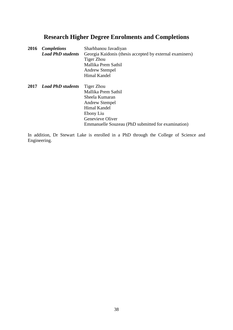## **Research Higher Degree Enrolments and Completions**

| 2016 | <b>Completions</b>       | Sharhbanou Javadiyan                                     |  |
|------|--------------------------|----------------------------------------------------------|--|
|      | <b>Load PhD students</b> | Georgia Kaidonis (thesis accepted by external examiners) |  |
|      |                          | Tiger Zhou                                               |  |
|      |                          | Mallika Prem Sathil                                      |  |
|      |                          | <b>Andrew Stempel</b>                                    |  |
|      |                          | Himal Kandel                                             |  |
|      | 2017 Load PhD students   | Tiger Zhou                                               |  |
|      |                          | Mallika Prem Sathil                                      |  |
|      |                          | Sheela Kumaran                                           |  |
|      |                          | <b>Andrew Stempel</b>                                    |  |
|      |                          | Himal Kandel                                             |  |
|      |                          | Ebony Liu                                                |  |
|      |                          | Genevieve Oliver                                         |  |

Emmanuelle Souzeau (PhD submitted for examination)

In addition, Dr Stewart Lake is enrolled in a PhD through the College of Science and Engineering.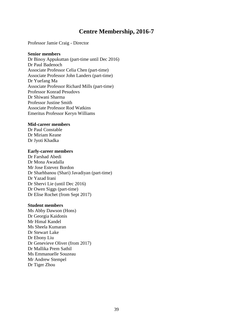## **Centre Membership, 2016-7**

#### Professor Jamie Craig - Director

#### **Senior members**

Dr Binoy Appukuttan (part-time until Dec 2016) Dr Paul Badenoch Associate Professor Celia Chen (part-time) Associate Professor John Landers (part-time) Dr Yuefang Ma Associate Professor Richard Mills (part-time) Professor Konrad Pesudovs Dr Shiwani Sharma Professor Justine Smith Associate Professor Rod Watkins Emeritus Professor Keryn Williams

#### **Mid-career members**

Dr Paul Constable Dr Miriam Keane Dr Jyoti Khadka

#### **Early-career members**

Dr Farshad Abedi Dr Mona Awadalla Mr Jose Estevez Bordon Dr Sharhbanou (Shari) Javadiyan (part-time) Dr Yazad Irani Dr Shervi Lie (until Dec 2016) Dr Owen Siggs (part-time) Dr Elise Rochet (from Sept 2017)

#### **Student members**

Ms Abby Dawson (Hons) Dr Georgia Kaidonis Mr Himal Kandel Ms Sheela Kumaran Dr Stewart Lake Dr Ebony Liu Dr Genevieve Oliver (from 2017) Dr Mallika Prem Sathil Ms Emmanuelle Souzeau Mr Andrew Stempel Dr Tiger Zhou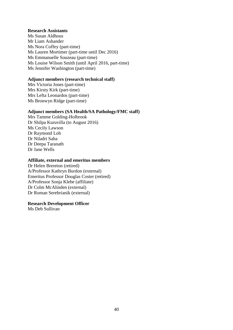#### **Research Assistants**

Ms Susan Aldhous Mr Liam Ashander Ms Nora Coffey (part-time) Ms Lauren Mortimer (part-time until Dec 2016) Ms Emmanuelle Souzeau (part-time) Ms Louise Wilson Smith (until April 2016, part-time) Ms Jennifer Washington (part-time)

#### **Adjunct members (research technical staff)**

Mrs Victoria Jones (part-time) Mrs Kirsty Kirk (part-time) Mrs Lefta Leonardos (part-time) Ms Bronwyn Ridge (part-time)

#### **Adjunct members (SA Health/SA Pathology/FMC staff)**

Mrs Tamme Golding-Holbrook Dr Shilpa Kuruvilla (to August 2016) Ms Cecily Lawson Dr Raymond Loh Dr Niladri Saha Dr Deepa Taranath Dr Jane Wells

#### **Affiliate, external and emeritus members**

Dr Helen Brereton (retired) A/Professor Kathryn Burdon (external) Emeritus Professor Douglas Coster (retired) A/Professor Sonja Klebe (affiliate) Dr Colm McAlinden (external) Dr Roman Serebrianik (external)

#### **Research Development Officer**

Ms Deb Sullivan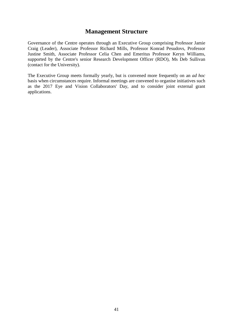## **Management Structure**

Governance of the Centre operates through an Executive Group comprising Professor Jamie Craig (Leader), Associate Professor Richard Mills, Professor Konrad Pesudovs, Professor Justine Smith, Associate Professor Celia Chen and Emeritus Professor Keryn Williams, supported by the Centre's senior Research Development Officer (RDO), Ms Deb Sullivan (contact for the University).

The Executive Group meets formally yearly, but is convened more frequently on an *ad hoc* basis when circumstances require. Informal meetings are convened to organise initiatives such as the 2017 Eye and Vision Collaborators' Day, and to consider joint external grant applications.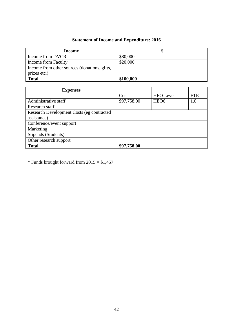## **Statement of Income and Expenditure: 2016**

| Income                                       |           |
|----------------------------------------------|-----------|
| Income from DVCR                             | \$80,000  |
| Income from Faculty                          | \$20,000  |
| Income from other sources (donations, gifts, |           |
| prizes etc.)                                 |           |
| <b>Total</b>                                 | \$100,000 |

| <b>Expenses</b>                           |             |                  |            |
|-------------------------------------------|-------------|------------------|------------|
|                                           | Cost        | <b>HEO</b> Level | <b>FTE</b> |
| Administrative staff                      | \$97,758.00 | HEO <sub>6</sub> | $1.0\,$    |
| Research staff                            |             |                  |            |
| Research Development Costs (eg contracted |             |                  |            |
| assistance)                               |             |                  |            |
| Conference/event support                  |             |                  |            |
| Marketing                                 |             |                  |            |
| Stipends (Students)                       |             |                  |            |
| Other research support                    |             |                  |            |
| <b>Total</b>                              | \$97,758.00 |                  |            |

 $*$  Funds brought forward from  $2015 = $1,457$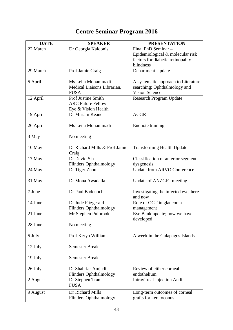# **Centre Seminar Program 2016**

| <b>DATE</b> | <b>SPEAKER</b>                | <b>PRESENTATION</b>                  |
|-------------|-------------------------------|--------------------------------------|
| 22 March    | Dr Georgia Kaidonis           | Final PhD Seminar -                  |
|             |                               | Epidemiological & molecular risk     |
|             |                               | factors for diabetic retinopahty     |
|             |                               | blindness                            |
| 29 March    | Prof Jamie Craig              | Department Update                    |
|             |                               |                                      |
| 5 April     | Ms Leila Mohammadi            | A systematic approach to Literature  |
|             | Medical Liaisons Librarian,   | searching: Ophthalmology and         |
|             | <b>FUSA</b>                   | <b>Vision Science</b>                |
| 12 April    | Prof Justine Smith            | <b>Research Program Update</b>       |
|             | <b>ARC Future Fellow</b>      |                                      |
|             | Eye & Vision Health           |                                      |
| 19 April    | Dr Miriam Keane               | <b>ACGR</b>                          |
| 26 April    | Ms Leila Mohammadi            | <b>Endnote</b> training              |
|             |                               |                                      |
| 3 May       | No meeting                    |                                      |
|             |                               |                                      |
| 10 May      | Dr Richard Mills & Prof Jamie | <b>Transforming Health Update</b>    |
|             | Craig                         |                                      |
| 17 May      | Dr David Sia                  | Classification of anterior segment   |
|             | Flinders Ophthalmology        | dysgenesis                           |
| 24 May      | Dr Tiger Zhou                 | <b>Update from ARVO Conference</b>   |
| 31 May      | Dr Mona Awadalla              | Update of ANZGIG meeting             |
|             |                               |                                      |
| 7 June      | Dr Paul Badenoch              | Investigating the infected eye, here |
|             |                               | and now                              |
| 14 June     | Dr Jude Fitzgerald            | Role of OCT in glaucoma              |
|             | Flinders Ophthalmology        | management                           |
| 21 June     | Mr Stephen Pulbrook           | Eye Bank update; how we have         |
|             |                               | developed                            |
| 28 June     | No meeting                    |                                      |
| 5 July      | Prof Keryn Williams           | A week in the Galapagos Islands      |
|             |                               |                                      |
| 12 July     | <b>Semester Break</b>         |                                      |
|             |                               |                                      |
| 19 July     | <b>Semester Break</b>         |                                      |
|             |                               |                                      |
| 26 July     | Dr Shahriar Amjadi            | Review of either corneal             |
|             | <b>Flinders Ophthalmology</b> | endothelium                          |
| 2 August    | Dr Stephen Tran               | <b>Intravitreal Injection Audit</b>  |
|             | <b>FUSA</b>                   |                                      |
| 9 August    | Dr Richard Mills              | Long-term outcomes of corneal        |
|             | <b>Flinders Ophthalmology</b> | grafts for keratoconus               |